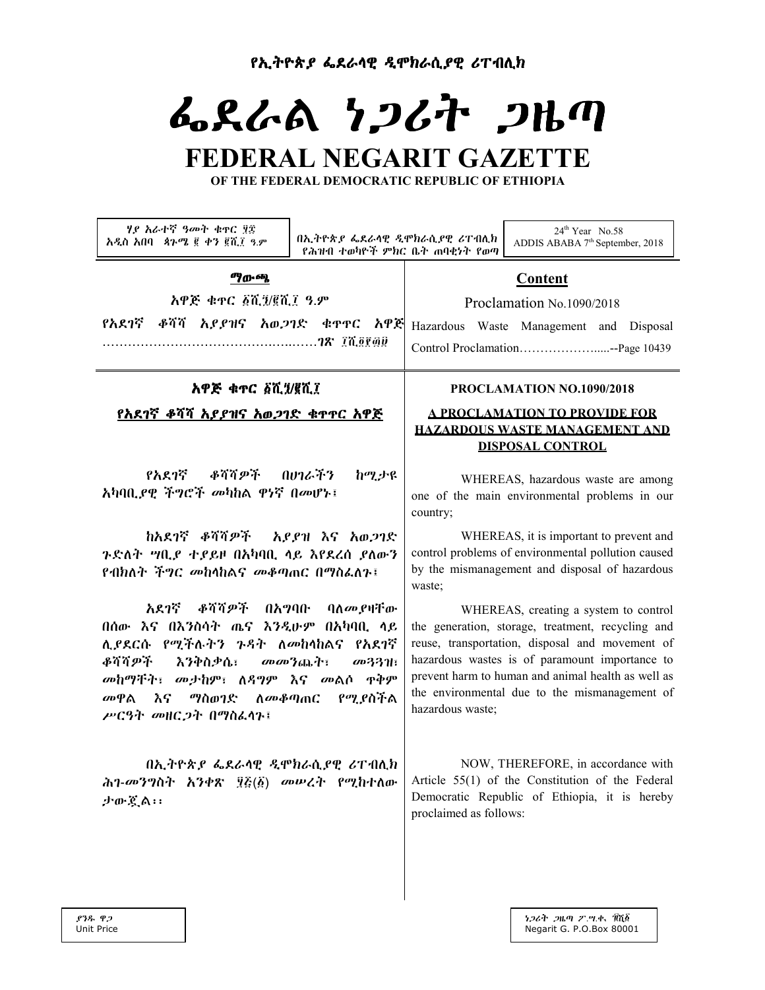የኢትዮጵያ ፌደራሳዊ ዲሞክራሲያዊ ሪፐብሊክ

# ふえんぬ りつびれ つゆの

# FEDERAL NEGARIT GAZETTE

OF THE FEDERAL DEMOCRATIC REPUBLIC OF ETHIOPIA

| ሃያ እራተኛ ዓመት ቁዋር ፶፰<br>በኢትዮጵያ ፌደራሳዊ ዲሞክራሲያዊ ሪፐብሊክ<br>አዲስ አበባ - ጳጉሜ ፪ ቀን ፪ሺ፲ ዓ.ም<br>የሕዝብ ተወካዮች ምክር ቤት ጠባቂነት የወጣ                                                                                                                                   | 24 <sup>th</sup> Year No.58<br>ADDIS ABABA 7th September, 2018                                                                                                                                                                                                                                                             |
|-------------------------------------------------------------------------------------------------------------------------------------------------------------------------------------------------------------------------------------------------|----------------------------------------------------------------------------------------------------------------------------------------------------------------------------------------------------------------------------------------------------------------------------------------------------------------------------|
| <i>ግ</i> ውጫ<br>አዋጅ ቁኖር ፩ሺ፺/፪ሺ፲ ዓ.ም                                                                                                                                                                                                              | <b>Content</b><br>Proclamation No.1090/2018                                                                                                                                                                                                                                                                                |
| የአደገኛ ቆሻሻ አይያዝና አወጋገድ ቁዋዋር አዋጅ                                                                                                                                                                                                                  | Hazardous Waste Management and Disposal<br>Control Proclamation--Page 10439                                                                                                                                                                                                                                                |
| አዋጅ ቁኖር ፩ሺ፺/፪ሺ፲                                                                                                                                                                                                                                 | PROCLAMATION NO.1090/2018                                                                                                                                                                                                                                                                                                  |
| <u>የአደገኛ ቆሻሻ አያያዝና አወጋገድ ቁዋዋር አዋጅ</u>                                                                                                                                                                                                           | <b>A PROCLAMATION TO PROVIDE FOR</b><br><b>HAZARDOUS WASTE MANAGEMENT AND</b><br><b>DISPOSAL CONTROL</b>                                                                                                                                                                                                                   |
| የአደገኛ ቆሻሻዎች በሀገራችን<br>ከሚታዩ<br>አካባቢያዊ ችግሮች መካከል ዋነኛ በመሆኑ፤                                                                                                                                                                                        | WHEREAS, hazardous waste are among<br>one of the main environmental problems in our<br>country;                                                                                                                                                                                                                            |
| ከአደገኛ ቆሻሻዎች – አያያዝ እና አወጋገድ<br>ጉድለት ግቢያ ተያይዞ በአካባቢ ላይ እየደረሰ ያለውን<br>የብክለት ችግር መከላከልና መቆጣጠር በማስፌለጉ፤                                                                                                                                              | WHEREAS, it is important to prevent and<br>control problems of environmental pollution caused<br>by the mismanagement and disposal of hazardous<br>waste;                                                                                                                                                                  |
| አደገኛ <i>ቆሻሻዎች</i> በአግባቡ ባለ <i>መ</i> ያዛቸው<br>በሰው እና በእንስሳት ጤና እንዲሁም በአካባቢ ላይ<br>ሊያደርሱ የሚችሉትን ጉዳት ለመከላከልና የአደገኛ<br>ቆሻሻዎች እንቅስቃሴ፣ መመንጨት፣<br>መንንዝ፣<br>ዋቅም<br>መከማቸት፣ መታከም፣ ለዳግም እና መልሶ<br><u>እና ማስወገድ ለመቆጣጠር የሚያስችል</u><br>መዋል<br>ሥርዓት መዘርጋት በማስፌሳጉ፤ | WHEREAS, creating a system to control<br>the generation, storage, treatment, recycling and<br>reuse, transportation, disposal and movement of<br>hazardous wastes is of paramount importance to<br>prevent harm to human and animal health as well as<br>the environmental due to the mismanagement of<br>hazardous waste; |
| በኢትዮጵያ ፌደራሳዊ ዲሞክራሲያዊ ሪፐብሲክ<br>ሕገ-መንግስት አንቀጽ ፶፩(፩) መሠረት የሚከተለው<br>ታውጀል።                                                                                                                                                                          | NOW, THEREFORE, in accordance with<br>Article 55(1) of the Constitution of the Federal<br>Democratic Republic of Ethiopia, it is hereby<br>proclaimed as follows:                                                                                                                                                          |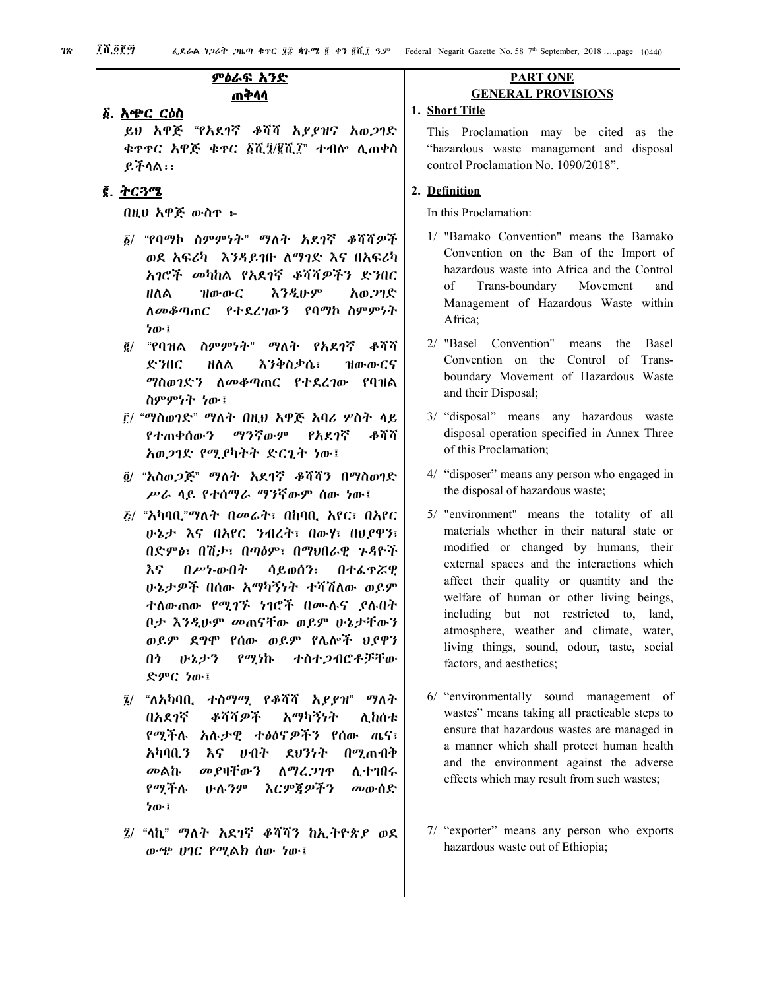#### <u>ምዕራፍ አንድ</u> <u>ጠቅሳሳ</u>

#### ፩. <u>አጭር ርዕስ</u>

ይሀ አዋጅ "የአደገኛ ቆሻሻ አያያዝና አወጋገድ ቁዋዋር አዋጅ ቁዋር ፩ሺ፺/፪ሺ፲" ተብሎ ሲጠቀስ ይችላል።

#### ፪. <u>ትርጓሜ</u>

በዚህ አዋጅ ውስዋ ፦

- ፩/ "የባማኮ ስምምነት" ማለት አደገኛ ቆሻሻዎች ወደ አፍሪካ እንዳይገቡ ለማገድ እና በአፍሪካ አገሮች መካከል የአደገኛ ቆሻሻዎችን ድንበር ふろえいም ዘለል ዝውውር አወ.2ገድ ለመቆጣጠር የተደረገውን የባማኮ ስምምነት ነው፤
- $\bar{e}$ / "*POHA* ስምምነት" ማለት የአደገኛ ቆሻሻ ድንበር እንቅስቃሴ፣ ዘለል ዝውውርና *ግ*ስወገድን ስ*መቆ*ጣጠር የተደረገው **የባ**ዝል ስምምነት ነው፤
- <u>፫/ "ማስወገድ" ማለት በዚህ አዋጅ አባሪ ሦስት ላይ</u> የተጠቀሰውን ማንኛውም የአደባኛ ቆሻሻ አወጋገድ የሚያካትት ድርጊት ነው፤
- ፬/ "አስወጋጅ" ማለት አደገኛ ቆሻሻን በማስወገድ ሥራ ላይ የተሰማራ ማንኛውም ሰው ነው፤
- $E/$  "አካባቢ"ማለት በመሬት፣ በከባቢ አየር፣ በአየር ሁኔታ እና በአየር ንብረት፣ በውሃ፣ በሀያዋን፣ በድምፅ፣ በሽታ፣ በጣዕም፣ በማህበራዊ ጉዳዮች እና በሥነ-ውበት ሳይወሰን፣ በተፌዋሯዊ ሁኔታዎች በሰው አማካኝነት ተሻሽለው ወይም ተስውጠው የሚገኙ ነገሮች በሙሉና ያለብት ቦታ እንዲሁም መጠናቸው ወይም ሁኔታቸውን ወይም ደግሞ የሰው ወይም የሌሎች ህያዋን በጎ ሁኔታን የሚነኩ ナስナンብሮቶቻቸው ድምር ነው፤
- ፮/ "ለአካባቢ. ተስማሚ. የቆሻሻ አደደዝ" ማለት በአደባኛ ቆሻሻዎች አማካኝነት ሊከሰቱ የሚችሉ አሉታዊ ተፅዕኖዎችን የሰው ጨና፣ አካባቢን እና ሁብት ደህንነት በማ ሐብቅ መልኩ መ የዛቸውን ስማረ,ንገዋ ሊተገበሩ የማችሉ ひへろダ እርምጀዎችን መውሰድ ነው፣
- $\tilde{z}$ / "ሳኪ" ማለት አደገኛ ቆሻሻን ከኢትዮጵያ ወደ ውጭ ሀገር የሚልክ ሰው ነው፤

# **PART ONE GENERAL PROVISIONS**

# 1. Short Title

This Proclamation may be cited as the "hazardous waste management and disposal control Proclamation No. 1090/2018".

#### 2. Definition

In this Proclamation:

- 1/ "Bamako Convention" means the Bamako Convention on the Ban of the Import of hazardous waste into Africa and the Control of Trans-boundary Movement and Management of Hazardous Waste within Africa;
- 2/ "Basel Convention" the Basel means Convention on the Control of Transboundary Movement of Hazardous Waste and their Disposal;
- 3/ "disposal" means any hazardous waste disposal operation specified in Annex Three of this Proclamation;
- 4/ "disposer" means any person who engaged in the disposal of hazardous waste;
- 5/ "environment" means the totality of all materials whether in their natural state or modified or changed by humans, their external spaces and the interactions which affect their quality or quantity and the welfare of human or other living beings, including but not restricted to, land, atmosphere, weather and climate, water, living things, sound, odour, taste, social factors, and aesthetics;
- 6/ "environmentally sound management of wastes" means taking all practicable steps to ensure that hazardous wastes are managed in a manner which shall protect human health and the environment against the adverse effects which may result from such wastes;
- 7/ "exporter" means any person who exports hazardous waste out of Ethiopia;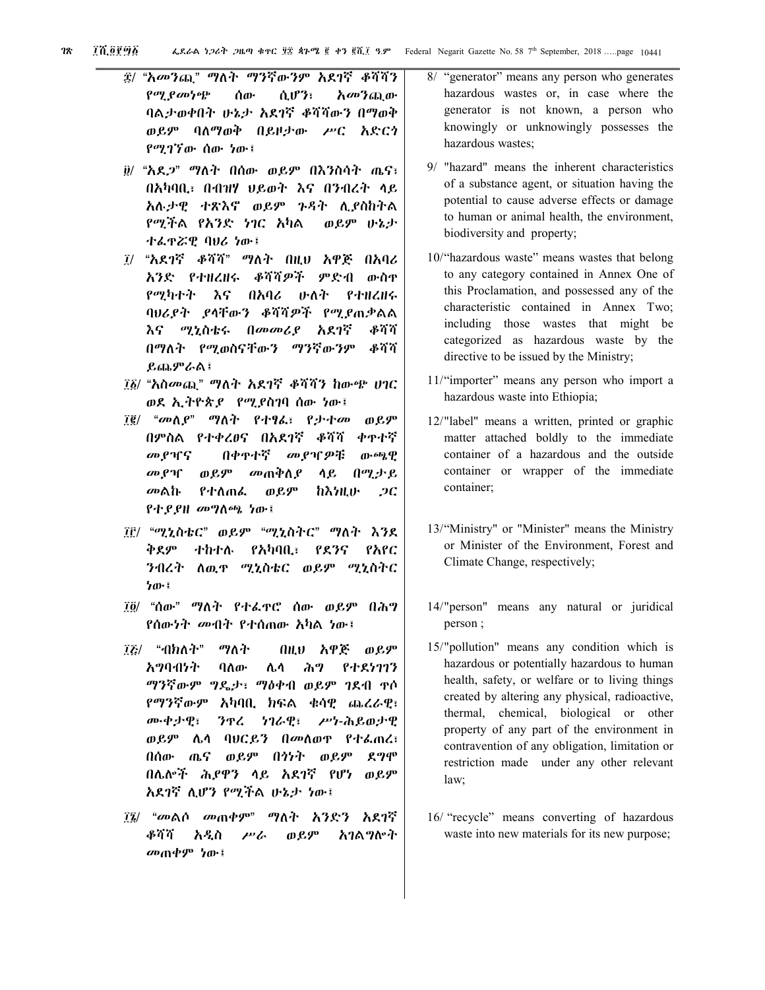- ፰/ "አመንጪ" ማለት ማንኛውንም አደገኛ ቆሻሻን የሚያመነጭ ሰው ሲሆን፣ አመንጪው ባልታወቀበት ሁኔታ አደገኛ ቆሻሻውን በማወቅ ወይም ባለማወቅ በይዞታው ሥር አድርጎ የሚገኘው ሰው ነው፤
- ፱/ "አደ.2" ማለት በሰው ወይም በእንስሳት ጤና፣ በአካባቢ፣ በብዝሃ ህይወት እና በንብረት ላይ አሉታዊ ተጽእኖ ወይም ንዳት ሊያስከትል የሚችል የአንድ ነገር አካል ወይም ሁኔታ ተፌዋሯዊ ባህሪ ነው፤
- ፲/ "አደገኛ ቆሻሻ" ማለት በዚህ አዋጅ በአባሪ አንድ የተዘረዘሩ ቆሻሻዎች ምድብ ውስዋ የሚካተት እና በአባሪ ሁለት የተዘረዘሩ ባሀሪያት ያላቸውን ቆሻሻዎች የሚያጠቃልል እና ሚኒስቴሩ በመመሪያ አደገኛ ቆሻሻ በማለት የሚወስናቸውን ማንኛውንም ቆሻሻ ይጨ**ምራል**፤
- ፲፩/ "አስመጪ" ማለት አደገኛ ቆሻሻን ከውጭ ሀገር ወደ ኢትዮጵያ የሚያስገባ ሰው ነው፤
- ፲፪/ "መለያ" ማለት የተፃፌ፣ የታተመ ወይም በምስል የተቀረፀና በአደገኛ ቆሻሻ ቀዋተኛ መያዣና በቀዯተኛ መያዣዎቹ ውጫዊ መጠቅስያ መ ያዣ ወይም ሳይ በሚታይ መልኩ የተለጠራ ወይም わえられい  $2C$ የተያያዘ መግለጫ ነው፤
- *ĩና/ "ሚኒስቴር*" ወይም "ሚኒስትር" ማለት እንደ ቅደም ተከተሉ የአካባቢ፣ የደንና የአየር ንብረት ለዉዋ ሚኒስቴር ወይም ሚኒስትር ነው፤
- *ī٥/ "ሰው" ማለት የተፌ*ዋሮ ሰው ወይም በሕግ የሰው*ነት መብት* የተሰጠው አካል ነው፤
- $7Z/$  "ብክለት" ማለት በዚህ አዋጅ ወይም አማባብነት ባለው ሌሳ ሕግ የተደነገገን ማንኛውም ግዴታ፣ ማዕቀብ ወይም ገደብ ዋሶ የማንኛውም አካባቢ ክፍል ቁሳዊ ጨረራዊ፣ ሙቀታዊ፣ ንዋረ **776-Qi** ሥነ-ሕይወታዊ ወይም ሌሳ ባህርይን በመለወዋ የተፌጠረ፣ በሰው ጤና ወይም በነነት ወይም ደግሞ በሌሎች ሕደዋን ላይ አደገኛ የሆነ ወይም አደገኛ ሲሆን የሚችል ሁኔታ ነው፤
- ፲፮/ "መልሶ መጠቀም" ማለት አንድን አደገኛ ቆሻሻ አዲስ ወይም አገልግሎት  $P$ <sup> $\sigma$ </sup> መጠቀም ነው፤
- "generator" means any person who generates  $8/$ hazardous wastes or, in case where the generator is not known, a person who knowingly or unknowingly possesses the hazardous wastes;
- 9/ "hazard" means the inherent characteristics of a substance agent, or situation having the potential to cause adverse effects or damage to human or animal health, the environment, biodiversity and property;
- 10/"hazardous waste" means wastes that belong to any category contained in Annex One of this Proclamation, and possessed any of the characteristic contained in Annex Two; including those wastes that might be categorized as hazardous waste by the directive to be issued by the Ministry;
- 11/"importer" means any person who import a hazardous waste into Ethiopia;
- 12/"label" means a written, printed or graphic matter attached boldly to the immediate container of a hazardous and the outside container or wrapper of the immediate container;
- 13/"Ministry" or "Minister" means the Ministry or Minister of the Environment, Forest and Climate Change, respectively;
- 14/"person" means any natural or juridical person ;
- 15/"pollution" means any condition which is hazardous or potentially hazardous to human health, safety, or welfare or to living things created by altering any physical, radioactive, thermal, chemical, biological or other property of any part of the environment in contravention of any obligation, limitation or restriction made under any other relevant  $law:$
- 16/ "recycle" means converting of hazardous waste into new materials for its new purpose;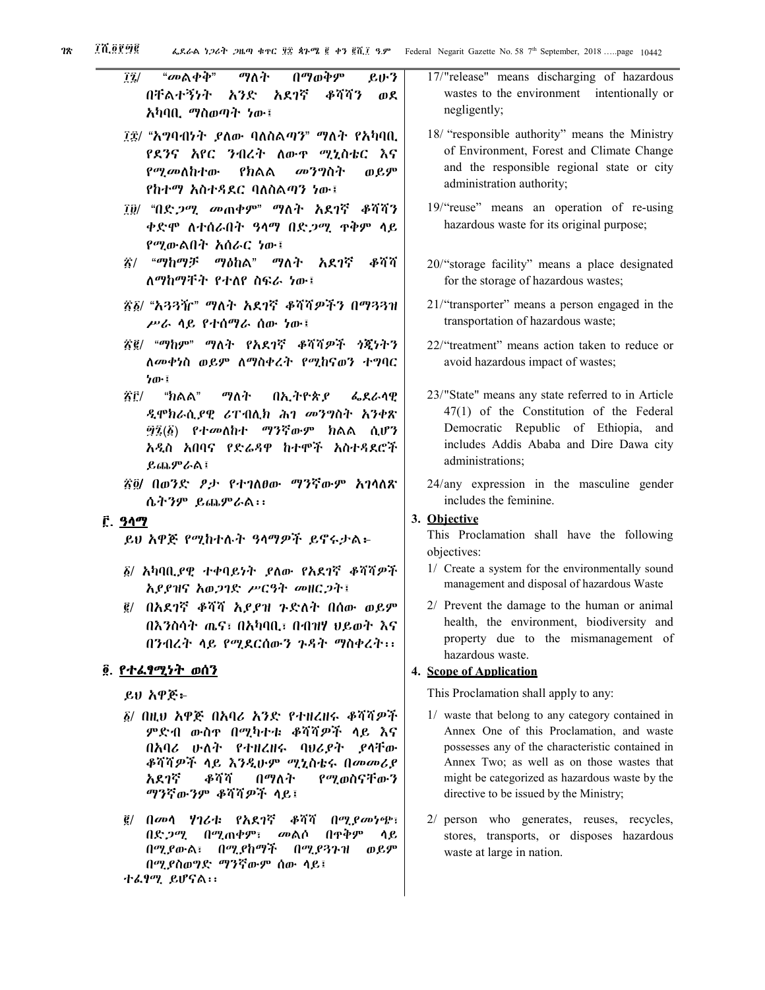- ማለት  $\vec{1}\vec{2}$ / "መልቀቅ" በማወቅም ይሁን በቸልተኝነት አንድ አደገኛ ቆሻሻን ወደ አካባቢ. ማስወጣት ነው፤
- *፲፰/ "እግ*ባብሃት ያለው ባለስል*ጣን*" ማለት የአካባቢ የደንና አየር ንብረት ለውዋ ሚኒስቴር እና **መይም** *የሚመ*ለከተው የክልል መንግስት የከተማ አስተዳደር ባለስልጣን ነው፤
- *īθ/ "በድጋሚ መ*ጠቀም" ማለት አደገኛ ቆሻሻን ቀድሞ ለተሰራበት ዓላማ በድ*ጋሚ* ዋቅም ላይ የሚውልበት አሰራር ነው፤
- *ኧ/ "ማከማቻ ማዕከ*ል" ማለት አደ*ገ*ኛ ቆሻሻ ለማከማቸት የተለየ ስፍራ ነው፤
- ፳፩/ "አ33ዥ" ማለት አደገኛ ቆሻሻዎችን በማ33ዝ ሥራ ሳይ የተሰማራ ሰው ነው፤
- ፳፪/ "ማከም" ማለት የአደገኛ ቆሻሻዎች ጎጂነትን ለመቀነስ ወይም ለማስቀረት የሚከናወን ተግባር  $b^{\alpha}$
- 若 ピーパン "ክልል" ማለት በኢትዮጵያ ፌደራሳዊ ዲሞክራሲያዊ ሪፐብሊክ ሕገ መንግስት አንቀጽ ፵፯(፩) የተመለከተ ማንኛውም ክልል ሲሆን አዲስ አበባና የድሬዳዋ ከተሞች አስተዳደሮች ይጨ**ምራል**፤
- ፳፬/ በወንድ ፆታ የተገለፀው ማንኛውም አገላለጽ ሴትንም ይጨምራል፡፡

#### <u>ሮ</u> ዓላማ

ይሀ አዋጅ የሚከተሉት ዓላማዎች ይኖሩታል፦

- δ/ አካባቢያዊ ተቀባይነት ያለው የአደገኛ ቆሻሻ*ዎች* አያያዝና አወጋገድ ሥርዓት መዘርጋት፤
- <sup>፪/</sup> በአደገኛ ቆሻሻ አደደዝ ጉድለት በሰው ወይም በእንስሳት ጨና፣ በአካባቢ፣ በብዝሃ ህይወት እና በንብረት ላይ የሚደርሰውን ጉዳት ማስቀረት፡፡

#### ፬. የተፌፃሚነት ወሰን

ይህ አዋጅ፦

- δ/ በዚህ አዋጅ በአባሪ አንድ የተዘረዘሩ ቆሻሻ*ዎ*ች ምድብ ውስዋ በሚካተቱ ቆሻሻዎች ላይ እና በአባሪ ሁለት የተዘረዘሩ ባሀሪያት ያሳቸው ቆሻሻዎች ላይ እንዲሁም ሚኒስቴሩ በመመሪያ አደገኛ ቆሻሻ በማለት የሚወስናቸውን ማንኛውንም ቆሻሻዎች ላይ፤
- ፪/ በመሳ ሃገሪቱ የአደገኛ ቆሻሻ በሚ*ያመነ*ጭ፣ በድ*ጋሚ በሚ*ጠቀም፣ መልሶ በዋቅም ሳይ በሚያውል፣ በሚያከማች በሚያጓጉዝ ወይም በሚያስወግድ ማንኛውም ሰው ሳይ፤ ተፌፃሚ ይሆናል፡፡
- 17/"release" means discharging of hazardous wastes to the environment intentionally or negligently;
- 18/ "responsible authority" means the Ministry of Environment, Forest and Climate Change and the responsible regional state or city administration authority;
- 19/"reuse" means an operation of re-using hazardous waste for its original purpose;
- 20/"storage facility" means a place designated for the storage of hazardous wastes;
- 21/"transporter" means a person engaged in the transportation of hazardous waste;
- 22/"treatment" means action taken to reduce or avoid hazardous impact of wastes;
- 23/"State" means any state referred to in Article 47(1) of the Constitution of the Federal Democratic Republic of Ethiopia, and includes Addis Ababa and Dire Dawa city administrations;
- $24/$ any expression in the masculine gender includes the feminine.

#### 3. Objective

This Proclamation shall have the following objectives:

- 1/ Create a system for the environmentally sound management and disposal of hazardous Waste
- 2/ Prevent the damage to the human or animal health, the environment, biodiversity and property due to the mismanagement of hazardous waste.

#### 4. Scope of Application

This Proclamation shall apply to any:

- 1/ waste that belong to any category contained in Annex One of this Proclamation, and waste possesses any of the characteristic contained in Annex Two; as well as on those wastes that might be categorized as hazardous waste by the directive to be issued by the Ministry;
- 2/ person who generates, reuses, recycles, stores, transports, or disposes hazardous waste at large in nation.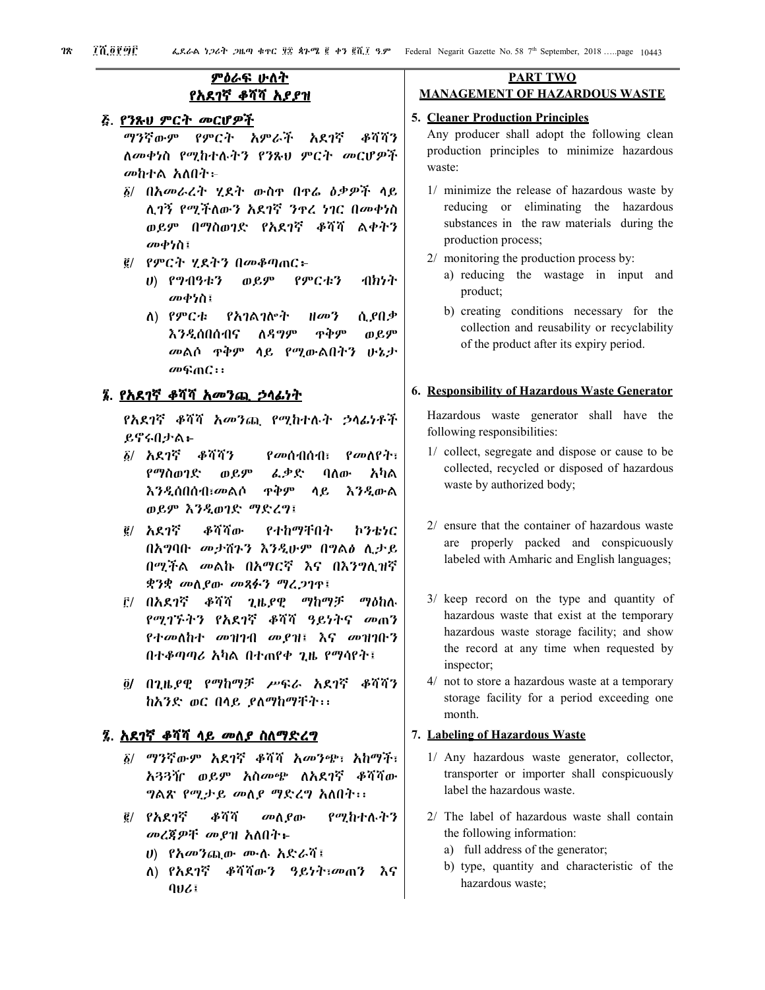# <u>ምዕራፍ ሁለት</u> <u>የአደገኛ ቆሻሻ አያያዝ</u>

# <u>፭. የንጹህ ምርት መ</u>ርሆዎች

ማንኛውም የምርት አምራች አደገኛ ቆሻሻን ለመቀነስ የሚከተሉትን የንጹህ ምርት መርሆዎች መከተል አለበት፦

- $\delta$ / በአመራረት ሂደት ውስዋ በዋሬ ዕቃዎች ላይ ሊገኝ የሚችለውን አደገኛ ንዋረ ነገር በመቀነስ ወይም በማስወገድ የአደገኛ ቆሻሻ ልቀትን መቀነስ፣
- ፪/ የምርት ሂደትን በመቆጣጠር፦
	- $U$ )  $P9-19-13$ ወይም የምርቱን イトカケイ መቀነስ፤
	- ለ) የምርቱ  $H$ <sub>a</sub> $B$ ሲያበቃ የአገልገሎት እንዲሰበሰብና ለዳማም ጥቅም **ጠ**ይም መልሶ ዋቅም ላይ የሚውልበትን ሁኔታ  $\omega \in \mathbb{C}$  ::

# ፮. <u>የአደገኛ ቆሻሻ አመንጪ ኃላፊነት</u>

የአደገኛ ቆሻሻ አመንጪ የሚከተሉት ኃላፊነቶች ይኖሩበታል፦

- δ/ አደ*ገ*ኛ ቆሻሻን *የመሰብሰብ*፣ የመለየት፣ ሬ.ቃድ የማስወገድ ወይም ባለው አካል ዋቅም እ*ንዲ*ሰበሰብ፣*መ*ልሶ ሳይ እንዲውል ወይም እንዲወገድ ማድረግ፤
- $g/$  አደገኛ ቆሻሻው የተከማቸበት わかなん በአግባቡ መታሸጉን እንዲሁም በግልፅ ሲታይ በሚችል መልኩ በአማርኛ እና በእንግሊዝኛ ቋንቋ መስያው መጻፉን ማረጋገዋ፤
- <u>፫/ በአደገኛ ቆሻሻ ጊዜደዊ ማከማቻ ማዕከሉ</u> የሚገኙትን የአደገኛ ቆሻሻ ዓይነትና መጠን  $P+$ መለከተ መዝገብ መያዝ፤ እና መዝገቡን በተቆጣጣሪ አካል በተጠየቀ ጊዜ የማሳየት፤
- ፬/ በጊዜያዊ የማከማቻ ሥፍራ አደገኛ ቆሻሻን ከአንድ ወር በላይ ያለማከማቸት፡፡

# ፯. አደገኛ <u>ቆሻሻ ላይ መስያ ስለማድረግ</u>

- δ/ ማንኛውም አደገኛ ቆሻሻ አመንጭ፣ አከማች፣ አጓጓዥ ወይም አስመጭ ለአደገኛ ቆሻሻው ግልጽ የሚታይ መስያ ማድረግ አለበት፡፡
- $g/$  የአደገኛ ቆሻሻ መስያው የሚከተሉትን መረጀዎቸ መያዝ አለበት፦
	- ሀ) የአመንጪው ሙሉ አድራሻ፤
	- ለ) የአደገኛ ቆሻሻውን ዓይነት፣*መ*ጠን እና  $906$

# **PART TWO MANAGEMENT OF HAZARDOUS WASTE**

#### **5. Cleaner Production Principles**

Any producer shall adopt the following clean production principles to minimize hazardous waste:

- 1/ minimize the release of hazardous waste by reducing or eliminating the hazardous substances in the raw materials during the production process;
- 2/ monitoring the production process by:
	- a) reducing the wastage in input and product;
	- b) creating conditions necessary for the collection and reusability or recyclability of the product after its expiry period.

#### 6. Responsibility of Hazardous Waste Generator

Hazardous waste generator shall have the following responsibilities:

- 1/ collect, segregate and dispose or cause to be collected, recycled or disposed of hazardous waste by authorized body;
- 2/ ensure that the container of hazardous waste are properly packed and conspicuously labeled with Amharic and English languages;
- 3/ keep record on the type and quantity of hazardous waste that exist at the temporary hazardous waste storage facility; and show the record at any time when requested by inspector;
- 4/ not to store a hazardous waste at a temporary storage facility for a period exceeding one month.

#### 7. Labeling of Hazardous Waste

- 1/ Any hazardous waste generator, collector, transporter or importer shall conspicuously label the hazardous waste.
- 2/ The label of hazardous waste shall contain the following information:
	- a) full address of the generator;
	- b) type, quantity and characteristic of the hazardous waste;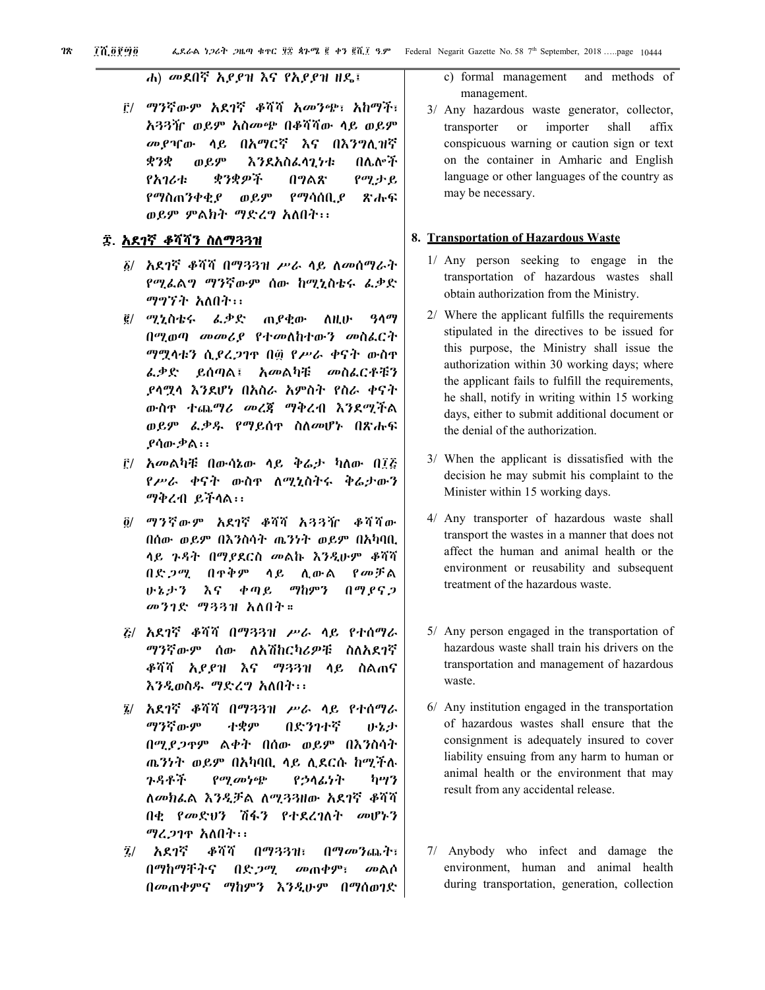ሐ) መደበኛ አያያዝ እና የአያያዝ ዘዴ፤

f/ ማንኛውም አደባኛ ቆሻሻ አመንጭ፣ አከማች፣ አጓጓዥ ወይም አስመጭ በቆሻሻው ላይ ወይም መያዣው ላይ በአማርኛ እና በእንግሊዝኛ ቋንቋ **መይም** በሌሎች **እንደአስፌሳጊ**ንቱ የአገሪቱ ቋንቋዎች በማልጽ የሚታይ የማስጠንቀቂያ ወይም የማሳሰቢ ያ ጽሑፍ ወይም ምልክት ማድረግ አለበት፡፡

# ፰. አደገኛ ቆሻሻን ስለማጓጓዝ

- ፩/ አደገኛ ቆሻሻ በማ33ዝ ሥራ ላይ ለመሰማራት የሚፌልግ ማንኛውም ሰው ከሚኒስቴሩ ፌቃድ ማግኘት አለበት፡፡
- *፪/ ሚኒ*ስቴሩ *ፌ*ቃድ ጠያቂው ለዚሁ ዓላማ በሚወጣ መመሪያ የተመለከተውን መስፌርት ማሟላቱን ሲደረጋገዋ በ፴ የሥራ ቀናት ውስዋ ፌቃድ ይሰጣል፤ አመልካቹ መስፌርቶቹን ያሳሚሳ እንደሆነ በአስራ አምስት የስራ ቀናት ውስዋ ተጨማሪ መረጃ ማቅረብ እንደሚችል ወይም ፌቃዱ የማይሰዋ ስለመሆኑ በጽሑፍ የሳው ቃል : :
- ፫/ አመልካቹ በውሳኔው ላይ ቅሬታ ካለው በ፲<del>፫</del> የሥራ ቀናት ውስዋ ለሚኒስትሩ ቅሬታውን ማቅረብ ይችላል፡፡
- $\ddot{\theta}$ / ማንኛውም አደገኛ ቆሻሻ አ33ዥ ቆሻሻው በሰው ወይም በእንስሳት ጨንነት ወይም በአካባቢ ላይ ጉዳት በማያደርስ መልኩ እንዲሁም ቆሻሻ በድጋሚ በዋቅም ላይ ሊውል የመቻል かねよう እና  $\phi$   $q$   $q$ ማከምን  $0.99972$ መንገድ ማ33ዝ አለበት።
- *E/ አደገ*ኛ ቆሻሻ በማ33ዝ ሥራ ላይ የተሰማራ ማንኛውም ሰው ለአሽከርካሪዎቹ ስለአደገኛ ቆሻሻ አደደዝ እና ማጓጓዝ ላይ ስልጠና እንዲወስዱ ማድረግ አለበት፡፡
- ፤/ አደገኛ ቆሻሻ በማጓጓዝ ሥራ ላይ የተሰማራ ማንኛውም በድንንተኛ ተቋም ひとか በሚደጋዋም ልቀት በሰው ወይም በእንስሳት ጤንነት ወይም በአካባቢ ላይ ሲደርሱ ከሚችሉ የኃላፊነት ጉዳቶች  $\rho$ an  $\rho$  $h\gamma$ ለመክፌል እንዲቻል ለሚጓጓዘው አደገኛ ቆሻሻ በቂ የመድህን ሽፋን የተደረገስት መሆኑን ማረ*ጋገ*ዋ አለበት፡፡
- ፯/ አደገኛ ቆሻሻ  $09331i$ በማመንጨት፣ በማከማችትና በድ,ጋሚ *መ*ጠቀም፣ መልሶ በመጠቀምና ማከምን እንዲሁም በማሰወገድ
- c) formal management and methods of management.
- 3/ Any hazardous waste generator, collector, importer shall transporter <sub>or</sub> affix conspicuous warning or caution sign or text on the container in Amharic and English language or other languages of the country as may be necessary.

#### 8. Transportation of Hazardous Waste

- 1/ Any person seeking to engage in the transportation of hazardous wastes shall obtain authorization from the Ministry.
- 2/ Where the applicant fulfills the requirements stipulated in the directives to be issued for this purpose, the Ministry shall issue the authorization within 30 working days; where the applicant fails to fulfill the requirements, he shall, notify in writing within 15 working days, either to submit additional document or the denial of the authorization.
- 3/ When the applicant is dissatisfied with the decision he may submit his complaint to the Minister within 15 working days.
- 4/ Any transporter of hazardous waste shall transport the wastes in a manner that does not affect the human and animal health or the environment or reusability and subsequent treatment of the hazardous waste.
- 5/ Any person engaged in the transportation of hazardous waste shall train his drivers on the transportation and management of hazardous waste.
- 6/ Any institution engaged in the transportation of hazardous wastes shall ensure that the consignment is adequately insured to cover liability ensuing from any harm to human or animal health or the environment that may result from any accidental release.
- 7/ Anybody who infect and damage the environment, human and animal health during transportation, generation, collection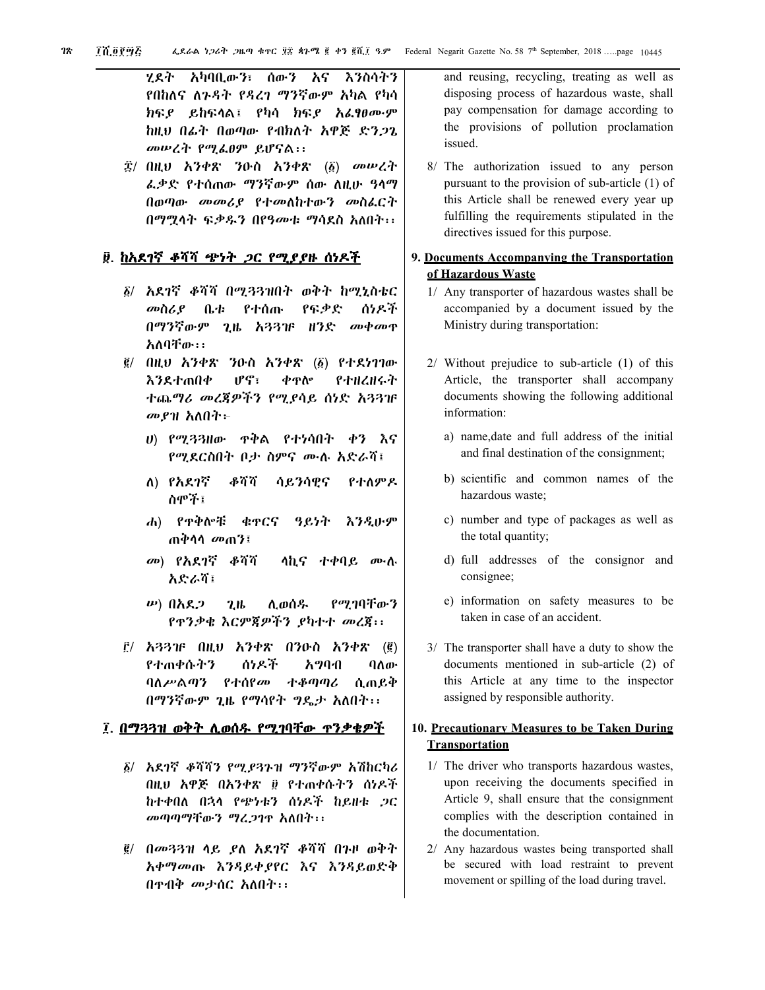አካባቢውን፣ ሰውን እና እንስሳትን ሂደት የበከለና ለጉዳት የዳረገ ማንኛውም አካል የካሳ ክፍያ ይከፍላል፤ የካሳ ክፍያ አፌፃፀሙም ከዚህ በፊት በወጣው የብክለት አዋጅ ድንጋጌ መሠረት የሚፌፀም ይሆናል፡፡

雲/ በዚህ አንቀጽ ንዑስ አንቀጽ (፩) መሠረት ፌቃድ የተሰጠው ማንኛውም ሰው ስዚሁ ዓላማ በወጣው መመሪያ የተመለከተውን መስፌርት በማሟላት ፍቃዱን በየዓመቱ ማሳደስ አለበት፡፡

#### <u>፱. ከአደገኛ ቆሻሻ ጭነት ጋር የሚያያዙ ሰነዶች</u>

- ፩/ አደገኛ ቆሻሻ በሚጓጓዝበት ወቅት ከሚኒስቴር መስሪያ ルホ የተሰጡ የፍቃድ ሰነዶች በማንኛውም ጊዜ አጓጓገ<del>ና</del> ዘንድ መቀመዋ አለባቸው።
- $\tilde{g}$  (lil.v  $\lambda$  3  $P$   $R$   $\lambda$  3  $O$   $\Lambda$   $\lambda$   $P$   $R$   $\tilde{g}$ )  $P$   $P$   $R$   $\lambda$   $1$  $1$  $0$  $\cdot$ **እንደ**ተጠበቀ **IPS:** ቀዋሎ የተዘረዘሩት ተጨማሪ መረጃዎችን የሚያሳይ ሰነድ አጓጓዡ መያዝ አለበት፦
	- ሀ) የሚ33ዘው ዋቅል የተነሳበት ቀን እና የሚደርስበት ቦታ ስምና ሙሉ አድራሻ፤
	- ለ) የአደገኛ ቆሻሻ ሳይንሳዊና የተስምዶ ስሞች፤
	- ሐ) የምቅሎቹ ቁዋርና ዓይነት えろえゖヂ ጠቅሳሳ መጠን፤
	- መ) የአደገኛ ቆሻሻ ላኪና ተቀባይ ሙሉ አድራሻ፤
	- ሥ) በአደጋ  $2.1<sub>b</sub>$ ሊወሰዱ የሚገባቸውን የዋንቃቄ እርምጀዎችን ያካተተ መረጀ፡፡
- $\hat{E}$   $\hat{A}$   $\hat{A}$   $\hat{B}$   $\hat{B}$   $\hat{C}$   $\hat{D}$   $\hat{C}$   $\hat{A}$   $\hat{C}$   $\hat{B}$   $\hat{C}$   $\hat{C}$   $\hat{C}$   $\hat{D}$   $\hat{C}$   $\hat{C}$   $\hat{C}$   $\hat{D}$   $\hat{C}$   $\hat{C}$   $\hat{C}$   $\hat{D}$   $\hat{C}$   $\hat{C}$   $\hat{C}$   $\hat{D}$   $\hat{C$ የተጠቀሱትን ሰሃዶች አማባብ ባለው ባለሥልጣን የተሰየመ ተቆጣጣሪ ሲጠይቅ በማንኛውም ጊዜ የማሳየት ግዴታ አለበት፡፡

# ፲. <u>በማጓጓዝ ወቅት ሲወሰዱ የሚገባቸው ዋንቃ</u>ቄዎች

- ፩/ አደገኛ ቆሻሻን የሚ*ያጓ*ጉዝ ማንኛውም አሽከርካሪ በዚህ አዋጅ በአንቀጽ ፱ የተጠቀሱትን ሰነዶች ከተቀበለ በኋላ የጭነቱን ሰነዶች ከይዘቱ *ጋ*ር መጣጣማቸውን ማረጋገዋ አለበት፡፡
- g/ በመ33ዝ ላይ ያለ አደገኛ ቆሻሻ በጉዞ ወቅት አቀማመጡ እንዳይቀያየር እና እንዳይወድቅ በዋብቅ መታሰር አለበት፡፡

and reusing, recycling, treating as well as disposing process of hazardous waste, shall pay compensation for damage according to the provisions of pollution proclamation issued.

8/ The authorization issued to any person pursuant to the provision of sub-article  $(1)$  of this Article shall be renewed every year up fulfilling the requirements stipulated in the directives issued for this purpose.

#### 9. Documents Accompanying the Transportation of Hazardous Waste

- 1/ Any transporter of hazardous wastes shall be accompanied by a document issued by the Ministry during transportation:
- $2/$  Without prejudice to sub-article  $(1)$  of this Article, the transporter shall accompany documents showing the following additional information:
	- a) name date and full address of the initial and final destination of the consignment;
	- b) scientific and common names of the hazardous waste;
	- c) number and type of packages as well as the total quantity;
	- d) full addresses of the consignor and consignee;
	- e) information on safety measures to be taken in case of an accident.
- 3/ The transporter shall have a duty to show the documents mentioned in sub-article (2) of this Article at any time to the inspector assigned by responsible authority.

# 10. Precautionary Measures to be Taken During **Transportation**

- 1/ The driver who transports hazardous wastes, upon receiving the documents specified in Article 9, shall ensure that the consignment complies with the description contained in the documentation.
- 2/ Any hazardous wastes being transported shall be secured with load restraint to prevent movement or spilling of the load during travel.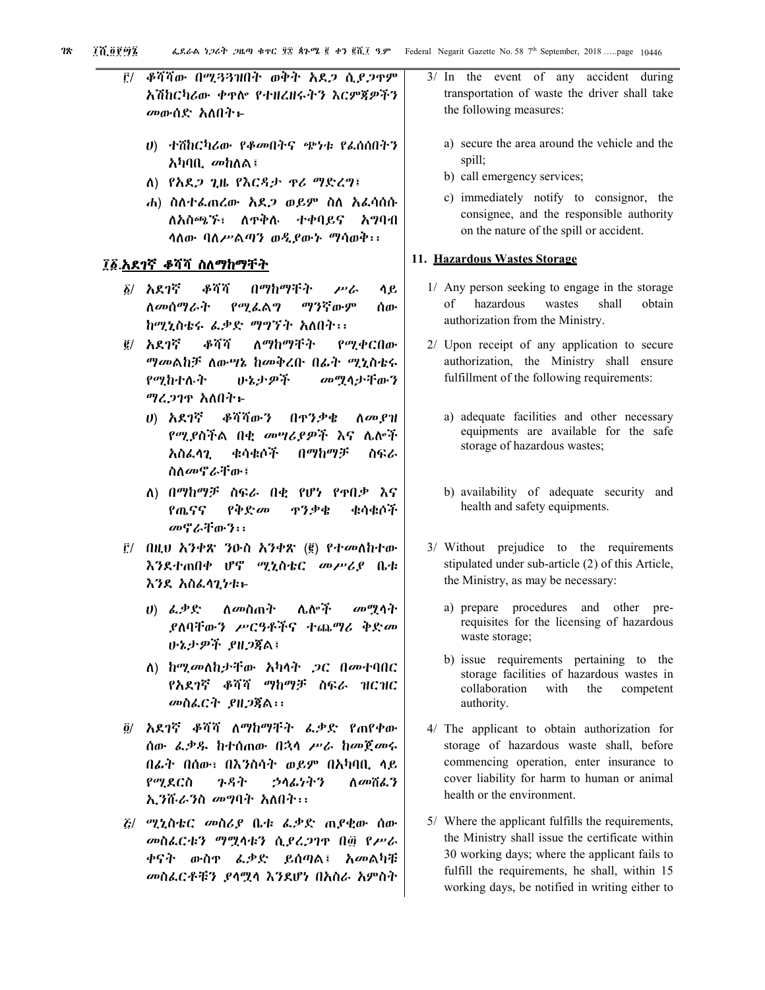- ፫/ ቆሻሻው በሚጓጓዝበት ወቅት አደጋ ሲደጋዋም አሽከርካሪው ቀዋሎ የተዘረዘሩትን እርምጀዎችን መውሰድ አለበት፦
	- ሀ) ተሽከርካሪው የቆመበትና ቄንቱ የፌስሰበትን አካባቢ መከለል፤
	- ለ) የአደጋ ጊዜ የእርዳታ ዋሪ ማድረግ፤
	- ሐ) ስለተፌጠረው አዴጋ ወይም ስለ አፌሳሰሱ ለአስጫኙ፣ ለዋቅሉ ተቀባይና አግባብ ሳስው ባለሥልጣን ወዲየውኑ ማሳወቅ፡፡

#### ፲፩ <u>አደገኛ ቆሻሻ ስለማከማቸት</u>

- **δ/ አደገኛ** ቆሻሻ በማከማችት ሳይ ሥራ <u>ስመሰማራት</u> የማፌልግ ማንኛውም ሰው ከሚኒስቴሩ ፌቃድ ማግኘት አለበት፡፡
- $R/$ አደገኛ ቆሻሻ ለማከማችት የሚቀርበው ማመልከቻ ለውሣኔ ከመቅረቡ በፊት ሚኒስቴሩ የማከተሉት ふえよゆネ መማሳታቸውን ማረጋንዋ አለበት፦
	- ቆሻሻውን ለመያዝ ሀ) አደገኛ በዋንቃቄ የሚያስችል በቂ መሣሪያዎች እና ሌሎች አስፌሳጊ ቁሳቁሶች በማከማቻ ስፍራ ስለመኖራቸው፤
	- ለ) በማከማቻ ስፍራ በቂ የሆነ የዋበቃ እና የጤናና የቅድመ ዋንቃቄ ቁሳቁሶች መኖራቸውን፡፡
- $\vec{E}$ / በዚህ አንቀጽ ንዑስ አንቀጽ (፪) የተመለከተው እንደተጠበቀ ሆኖ ሚኒስቴር መሥሪያ ቤቱ እንደ አስፌሳጊነቱ፦
	- ሌሎች り) んቃድ ለ*መ*ስጠት መሟላት ያለባቸውን ሥርዓቶችና ተጨማሪ ቅድመ ሁኔታዎች ያዘጋጀል፤
	- ለ) ከሚመለከታቸው አካላት ጋር በመተባበር የአደገኛ ቆሻሻ ማከማቻ ስፍራ ዝርዝር መስፌርት ያዘጋጀል፡፡
- <u>፬/ አደገኛ ቆሻሻ ለማከማቸት ፌቃድ የ</u>ጠየቀው ሰው ፌቃዱ ከተሰጠው በኋላ ሥራ ከመጀመሩ በፊት በሰው፣ በእንስሳት ወይም በአካባቢ ላይ የማደርስ ጉዳት うへんりヤク ለመሽፌን ኢንሹራንስ መግባት አለበት፡፡
- *ξ/ ሚኒስቴር መስሪያ* ቤቱ ፌቃድ ጠ*ያ*ቂው ሰው መስፌርቱን ማሟላቱን ሲደረጋገዋ በ፴ የሥራ ቀናት ውስዋ ፌቃድ ይሰጣል፤ አመልካቹ መስፌርቶቹን ያላሟላ እንደሆነ በአስራ አምስተ
- 3/ In the event of any accident during transportation of waste the driver shall take the following measures:
	- a) secure the area around the vehicle and the spill;
	- b) call emergency services;
	- c) immediately notify to consignor, the consignee, and the responsible authority on the nature of the spill or accident.

#### 11. Hazardous Wastes Storage

- 1/ Any person seeking to engage in the storage of hazardous wastes shall obtain authorization from the Ministry.
- 2/ Upon receipt of any application to secure authorization, the Ministry shall ensure fulfillment of the following requirements:
	- a) adequate facilities and other necessary equipments are available for the safe storage of hazardous wastes;
	- b) availability of adequate security and health and safety equipments.
- 3/ Without prejudice to the requirements stipulated under sub-article (2) of this Article, the Ministry, as may be necessary:
	- a) prepare procedures and other prerequisites for the licensing of hazardous waste storage;
	- b) issue requirements pertaining to the storage facilities of hazardous wastes in collaboration with the competent authority.
- 4/ The applicant to obtain authorization for storage of hazardous waste shall, before commencing operation, enter insurance to cover liability for harm to human or animal health or the environment.
- 5/ Where the applicant fulfills the requirements. the Ministry shall issue the certificate within 30 working days; where the applicant fails to fulfill the requirements, he shall, within 15 working days, be notified in writing either to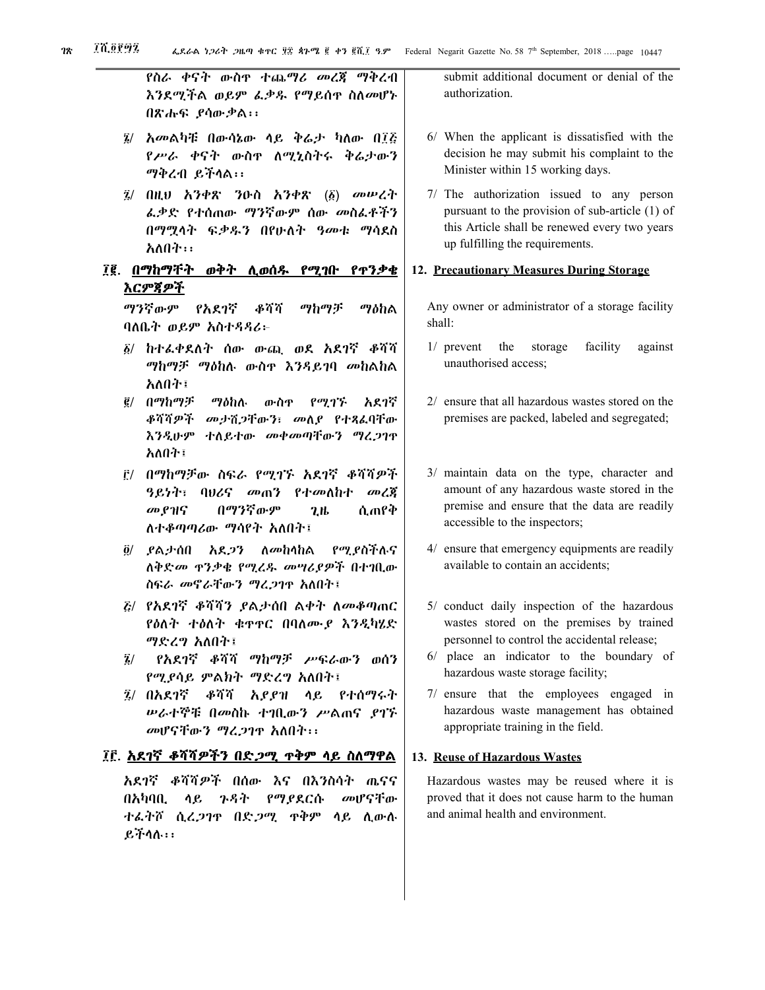የስራ ቀናት ውስዋ ተጨማሪ መረጃ ማቅረብ እንደሚችል ወይም ፌቃዱ የማይሰዋ ስለመሆኑ በጽሑፍ የሳውቃል፡፡

- የሥራ ቀናት ውስዋ ለሚኒስትሩ ቅሬታውን ማቅረብ ይችላል፡፡
- $\tilde{A}$  (lity  $\lambda$  *l* ex  $\gamma$  *l*  $\lambda$   $\lambda$  ex  $\alpha$   $\beta$   $\beta$   $\alpha$   $\beta$   $\gamma$ ፌቃድ የተሰጠው ማንኛውም ሰው መስራቶችን በማሟላት ፍቃዱን በየሁለት ዓመቱ ማሳደስ አለበት፡፡
- ፲፪. በማከማቸት ወ<u>ቅት ሲወሰዱ የሚገቡ የጥንቃቄ</u> <u>እርምጃዎች</u>

ማንኛውም የአደገኛ ቆሻሻ ማከማቻ ማዕከል ባለቤት ወይም አስተዳዳሪ፦

- ፩/ ከተራቀደለት ሰው ውጪ ወደ አደገኛ ቆሻሻ ማከማቻ ማዕከሉ ውስዋ እንዳይገባ መከልከል አለበት፤
- @/ በማከማቻ የሚገኙ ማዕከሉ. ውስዋ አደገኛ ቆሻሻዎች መታሽጋቸውን፣ መለያ የተጻፌባቸው እንዲሁም ተለይተው መቀመጣቸውን ማረጋገዋ አለበት፤
- ፫/ በማከማቻው ስፍራ የሚገኙ አደገኛ ቆሻሻ*ዎ*ች *ዓይነት*፣ ባሀሪና መጠን የተመለከተ መረጀ ሲጠየቅ መያዝና በማንኛውም  $2.1<sub>b</sub>$ ለተቆጣጣሪው ማሳየት አለበት፤
- ፬/ ያልታሰበ አደ*ጋ*ን ለመከላከል የሚያስችሉና ለቅድመ ዋንቃቄ የሚረዱ መሣሪያዎች በተገቢው ስፍራ መኖራቸውን ማረጋገዋ አለበት፤
- *ξ/ የአ*ደገኛ ቆሻሻን ያልታሰበ ልቀት ለመቆጣጠር የዕለት ተዕለት ቁዋዋር በባለሙያ እንዲካሂድ ማድረግ አለበት፤
- ፤/ የአደገኛ ቆሻሻ ማከማቻ ሥፍራውን ወሰን የሚያሳይ ምልክት ማድረግ አለበት፤
- ፯/ በአደገኛ ቆሻሻ አያያዝ ላይ የተሰማሩት ሥራተኞቹ በመስኩ ተገቢውን ሥልጠና ያገኙ መሆናቸውን ማረጋገዋ አለበት፡፡

#### ፲፫. <u>አደገኛ ቆሻሻዎችን በድ*ጋሚ* ተቅም ላይ ስለማዋል</u>

አደገኛ ቆሻሻዎች በሰው እና በእንስሳት ጤናና በአካባቢ መሆናቸው ሳይ **7.9+** የማያደርሱ ተፌትሾ ሲረጋገዋ በድጋሚ ዋቅም ላይ ሲውሉ ይችሳሉ።

submit additional document or denial of the authorization

- 6/ When the applicant is dissatisfied with the decision he may submit his complaint to the Minister within 15 working days.
- 7/ The authorization issued to any person pursuant to the provision of sub-article (1) of this Article shall be renewed every two years up fulfilling the requirements.

#### 12. Precautionary Measures During Storage

Any owner or administrator of a storage facility shall:

- $1/$  prevent the storage facility against unauthorised access;
- 2/ ensure that all hazardous wastes stored on the premises are packed, labeled and segregated;
- 3/ maintain data on the type, character and amount of any hazardous waste stored in the premise and ensure that the data are readily accessible to the inspectors;
- 4/ ensure that emergency equipments are readily available to contain an accidents;
- 5/ conduct daily inspection of the hazardous wastes stored on the premises by trained personnel to control the accidental release;
- 6/ place an indicator to the boundary of hazardous waste storage facility;
- 7/ ensure that the employees engaged in hazardous waste management has obtained appropriate training in the field.

### 13. Reuse of Hazardous Wastes

Hazardous wastes may be reused where it is proved that it does not cause harm to the human and animal health and environment.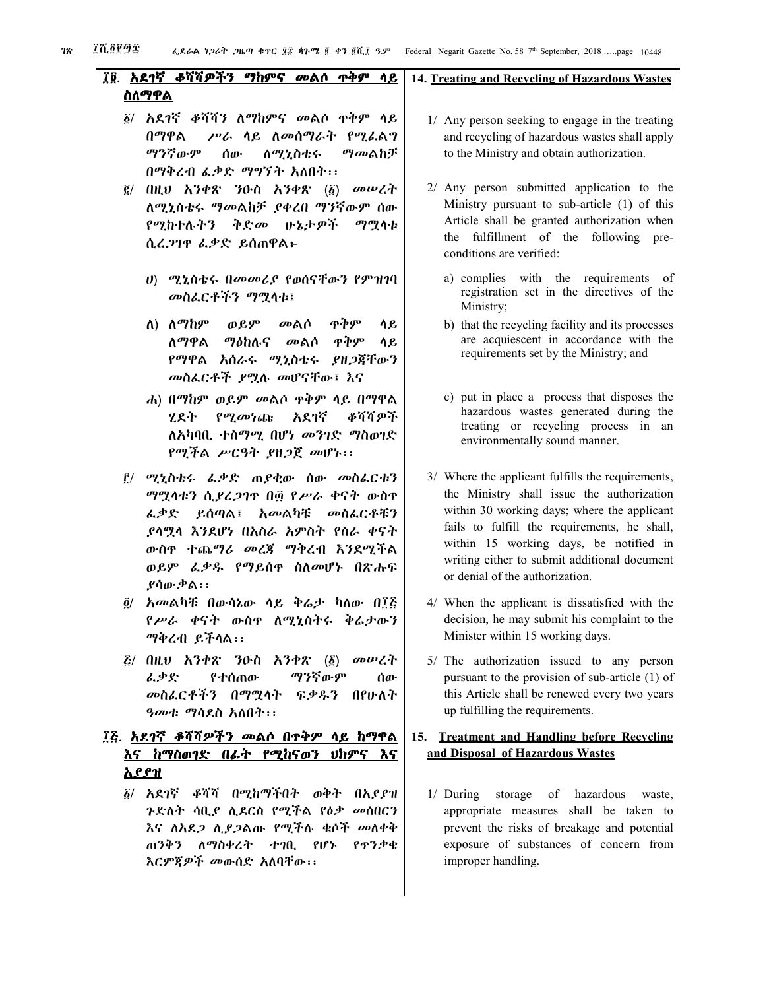| ፲፬. አደገኛ ቆሻሻዎችን ማከምና መልሶ ዋቅም ላይ                                                                                                      | 14. Treating and Recycling of Hazardous Wastes                                                                                                                                                                 |
|--------------------------------------------------------------------------------------------------------------------------------------|----------------------------------------------------------------------------------------------------------------------------------------------------------------------------------------------------------------|
| <u>ስለማዋል</u>                                                                                                                         |                                                                                                                                                                                                                |
| ፩/ አደገኛ ቆሻሻን ለማከምና መልሶ ዋቅም ላይ<br>በማዋል ሥራ ሳይ ለመሰማራት የሚፌልግ<br><i>ማን</i> ኛውም ሰው ስሚኒስቴሩ ማመልከቻ<br>በማቅረብ ፌቃድ ማግኘት አለበት፡፡                   | 1/ Any person seeking to engage in the treating<br>and recycling of hazardous wastes shall apply<br>to the Ministry and obtain authorization.                                                                  |
| $\tilde{g}$ / በዚህ አንቀጽ ንዑስ አንቀጽ (፩) መሥረት<br>ለሚኒስቴሩ ማመልከቻ ያቀረበ ማንኛውም ሰው<br><i>የሚከተሉትን ቅድመ ሁኔታዎች ማሟላቱ</i><br>ሲረ <i>ጋገ</i> ዋ ፌቃድ ይሰጠዋል፦ | 2/ Any person submitted application to the<br>Ministry pursuant to sub-article (1) of this<br>Article shall be granted authorization when<br>the fulfillment of the following pre-<br>conditions are verified: |
| ሀ) ሚኒስቴሩ በመመሪያ የወሰናቸውን የምዝገባ<br>መስራርቶችን ማሟላቱ፤                                                                                        | a) complies with the requirements of<br>registration set in the directives of the                                                                                                                              |

- መልሶ ለ) ለማከም ወይም ዋቅም ሳይ ለማዋል ማዕከሉና መልሶ ዋቅም ሳይ የማዋል አሰራሩ ሚኒስቴሩ ያዘጋጀቸውን መስፌርቶች ያሟሉ መሆናቸው፤ እና
- ሐ) በማከም ወይም መልሶ ዋቅም ላይ በማዋል ሃደት የሚመነጩ አደገኛ ቆሻሻዎች ለአካባቢ ተስማሚ በሆነ መንገድ ማስወገድ  $P^{\sigma}Z$ ችል ሥርዓት ያዘጋጀ መሆኑ $\cdots$
- <u>፫/ ሚኒስቴሩ ፌቃድ ጠያቂው ሰው መስፌርቱን</u> ማሟላቱን ሲያረጋገዋ በ፴ የሥራ ቀናት ውስዋ ፌቃድ ይሰጣል፤ አመልካቹ መስፌርቶቹን ያሳሟሳ እንደሆነ በአስራ አምስት የስራ ቀናት ውስዋ ተጨማሪ መረጃ ማቅረብ እንደሚችል ወይም ፌቃዱ የማይሰዋ ስለመሆኑ በጽሑፍ ያሳው ቃል።
- ፬/ አመልካቹ በውሳኔው ላይ ቅሬታ ካለው በ፲፭ የሥራ ቀናት ውስዋ ለሚኒስትሩ ቅሬታውን ማቅረብ ይችላል፡፡
- $\xi$ / በዚህ አንቀጽ ንዑስ አንቀጽ  $(\xi)$ መሠረት ፌቃድ የተሰጠው ማንኛውም ሰው መስፌርቶችን በማሟላት ፍቃዱን በየሁለት *ዓመቱ ማሳ*ደስ አለበት፡፡

# ፲<u>፭. አደገኛ ቆሻሻዎችን መልሶ በተቅም ላይ ከማዋል</u> <u>እና ከማስወገድ በፌት የሚከናወን ህክምና እና</u> አያያዝ

፩/ አደገኛ ቆሻሻ በሚከማችበት ወቅት በአያያዝ ንድለት ሳቢያ ሲደርስ የሚችል የዕቃ መሰበርን እና ለአደ*ጋ* ሊ*ደጋ*ልጡ የሚችሉ ቁሶች መስቀቅ ጠንቅን ለማስቀረት ተገቢ የሆኑ የዋንቃቂ እርምጀዎች መውሰድ አለባቸው፡፡

# ating apply

- b the f this when pre
	- sof f the Ministry:
	- b) that the recycling facility and its processes are acquiescent in accordance with the requirements set by the Ministry; and
	- c) put in place a process that disposes the hazardous wastes generated during the treating or recycling process in an environmentally sound manner.
- 3/ Where the applicant fulfills the requirements, the Ministry shall issue the authorization within 30 working days; where the applicant fails to fulfill the requirements, he shall, within 15 working days, be notified in writing either to submit additional document or denial of the authorization.
- 4/ When the applicant is dissatisfied with the decision, he may submit his complaint to the Minister within 15 working days.
- 5/ The authorization issued to any person pursuant to the provision of sub-article (1) of this Article shall be renewed every two years up fulfilling the requirements.

# 15. Treatment and Handling before Recycling and Disposal of Hazardous Wastes

 $1/$  During storage of hazardous waste. appropriate measures shall be taken to prevent the risks of breakage and potential exposure of substances of concern from improper handling.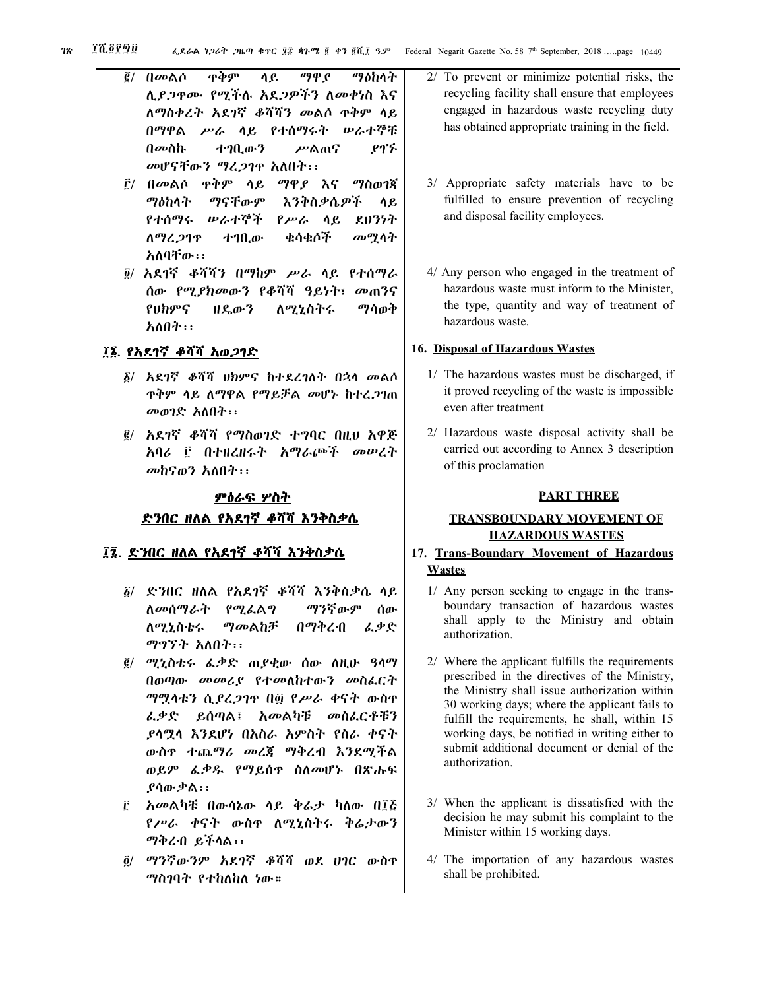- $\vec{g}$ / በመልሶ ዋቅም ሳይ ማዋ ያ ማዕከላት ሲደጋዋሙ የሚችሉ አዴጋዎችን ለመቀነስ እና <u>ለማስቀረት አደገኛ ቆሻሻን መልሶ ዋቅም ላይ</u> በማዋል ሥራ ሳይ የተሰማሩት ሠራተኞቹ  $\theta$ መስኩ ተገቢውን ሥልጠና ያገኙ መሆናቸውን ማረጋገዋ አለበት፡፡
- <u>፫/ በመልሶ ዋቅም ላይ ማዋደ እና ማስወገጃ</u> ማዕከላት ማናቸውም እንቅስቃሴዎች  $\Lambda_{\ell}$ የተሰማሩ ሥራተኞች የሥራ ሳይ ደህንነት ስማሬ.ጋገዋ ተንቢው ቁሳቁሶች መሟላት አለባቸው፡፡
- $\ddot{\theta}$ / አደገኛ ቆሻሻን በማከም ሥራ ሳይ የተሰማራ ሰው የሚያክመውን የቆሻሻ ዓይነት፣ መጠንና የህክምና ዘዴውን ለሚኒስትሩ ማሳወቅ አለበት።

# ፲፮. የአደገኛ ቆሻሻ አወ.ጋገድ

- ፩/ አደገኛ ቆሻሻ ሀክምና ከተደረገለት በኋላ መልሶ ዋቅም ላይ ለማዋል የማይቻል *መ*ሆኑ ከተረ*ጋገ*ጠ መወገድ አለበት፡፡
- ፪/ አደገኛ ቆሻሻ የማስወገድ ተግባር በዚህ አዋጅ አባሪ ፫ በተዘረዘሩት አ*ማ*ራጮች መሠረት መከናወን አለበት፡፡

# ምዕራፍ ሦስት <u>ድንበር ዘለል የአደገኛ ቆሻሻ እንቅስቃሴ</u>

#### ፲፯. <u>ድንበር ዘለል የአደገኛ ቆሻሻ እንቅስቃሴ</u>

- ፩/ ድንበር ዘለል የአደገኛ ቆሻሻ እንቅስቃሴ ላይ <u>ለመሰማራት</u> የሚፌልግ ማንኛውም ሰው ማመልከቻ ለሚኒስቴሩ በማቅረብ ፌቃድ ማግኘት አለበት፡፡
- *፤/ ሚኒስቴሩ ፌ*ቃድ ጠያቂው ሰው ስዚሁ ዓላማ በወጣው መመሪያ የተመለከተውን መስፌርት ማሟላቱን ሲደረጋገዋ በ፴ የሥራ ቀናት ውስዋ ፌቃድ ይሰጣል፤ አመልካቹ መስፌርቶቹን ያሳሟላ እንደሆነ በአስራ አምስት የስራ ቀናት ውስዋ ተጨማሪ መረጀ ማቅረብ እንደሚችል ወይም ፌቃዱ የማይሰዋ ስለመሆኑ በጽሑፍ የሳው ቃል::
- ሮ አመልካቹ በውሳኔው ላይ ቅሬታ ካለው በ7<del></del> የሥራ ቀናት ውስዋ ለሚኒስትሩ ቅሬታውን ማቅረብ ይችላል፡፡
- <u>Ô/ ማንኛውንም አደገኛ ቆሻሻ ወደ ሀገር ውስዋ</u> ማስገባት የተከለከለ ነው።
- 2/ To prevent or minimize potential risks, the recycling facility shall ensure that employees engaged in hazardous waste recycling duty has obtained appropriate training in the field.
- 3/ Appropriate safety materials have to be fulfilled to ensure prevention of recycling and disposal facility employees.
- 4/ Any person who engaged in the treatment of hazardous waste must inform to the Minister, the type, quantity and way of treatment of hazardous waste.

#### 16. Disposal of Hazardous Wastes

- 1/ The hazardous wastes must be discharged, if it proved recycling of the waste is impossible even after treatment
- 2/ Hazardous waste disposal activity shall be carried out according to Annex 3 description of this proclamation

#### **PART THREE**

# **TRANSBOUNDARY MOVEMENT OF HAZARDOUS WASTES**

#### 17. Trans-Boundary Movement of Hazardous **Wastes**

- 1/ Any person seeking to engage in the transboundary transaction of hazardous wastes shall apply to the Ministry and obtain authorization.
- 2/ Where the applicant fulfills the requirements prescribed in the directives of the Ministry. the Ministry shall issue authorization within 30 working days; where the applicant fails to fulfill the requirements, he shall, within 15 working days, be notified in writing either to submit additional document or denial of the authorization.
- 3/ When the applicant is dissatisfied with the decision he may submit his complaint to the Minister within 15 working days.
- 4/ The importation of any hazardous wastes shall be prohibited.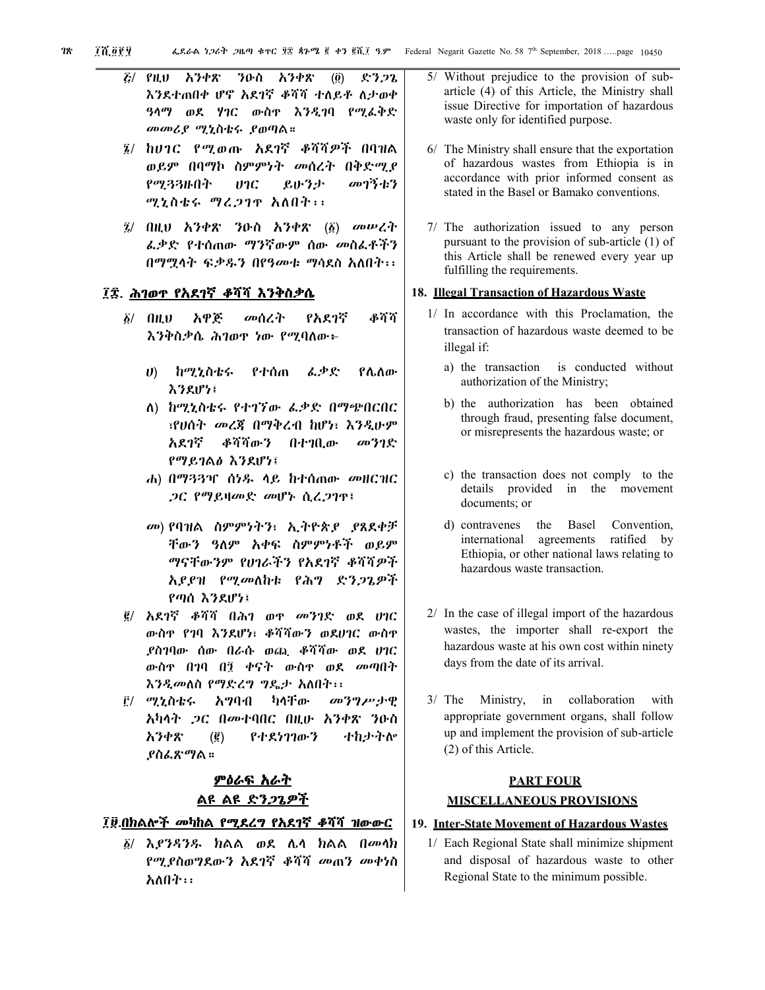$28$ 

- አንቀጽ ንዑስ አንቀጽ  $E/$  PH.V  $\left( \vec{0} \right)$ ድንጋጌ እንደተጠበቀ ሆኖ አደገኛ ቆሻሻ ተለይቶ ለታወቀ ዓላማ ወደ ሃገር ውስዋ እንዲገባ የሚፌቅድ መመሪያ ሚኒስቴሩ ያወጣል።
- *፤/ ከሀገር የሚወ*ጡ *አ*ደገኛ ቆሻሻ*ዎች* በባዝል ወይም በባማኮ ስምምነት መሰረት በቅድሚያ のつうする የሚጓጓዙበት  $07C$ しいろナ ሚኒስቴሩ ማረጋገዋ አለበት፡፡
- $\tilde{A}$  (lit.v  $\lambda$ ?+ $\lambda$  ?0.0  $\lambda$ ?+ $\lambda$  ( $\tilde{B}$ )  $\omega$ w  $\lambda$  $\tilde{A}$ ፌቃድ የተሰጠው ማንኛውም ሰው መስፌቶችን በማሟላት ፍቃዱን በየዓመቱ ማሳደስ አለበት፡፡

#### ፲፰. <u>ሕገወጥ የአደገኛ ቆሻሻ እንቅስቃሴ</u>

- አዋጅ መሰረት የአደገኛ ቆሻሻ  $\delta$  and እንቅስቃሴ ሕገወዋ ነው የሚባለው፦
	- ከሚኒስቴሩ ፈቃድ  $\boldsymbol{v}$ የተሰጠ **የሌስው** እንደሆነ፣
	- ለ) ከሚኒስቴሩ የተገኘው ፌቃድ በማጭበርበር ፣የሀሰት መረጃ በማቅረብ ከሆነ፣ እንዲሁም ቆሻሻውን  $0+20.$   $a$ አደባኛ መንገድ  $998100$   $\lambda$   $380$ <sup>1</sup>
	- ሐ) በማ33ዣ ሰነዱ ላይ ከተሰጠው መዘርዝር ጋር የማይዛመድ መሆኑ ሲረጋገዋ፤
	- መ) የባዝል ስምምነትን፣ ኢትዮጵያ ያጸደቀቻ ቸውን ዓለም አቀፍ ስምምነቶች ወይም ማናቸውንም የሀገራችን የአደገኛ ቆሻሻዎች አደደዝ የሚመለከቱ የሕግ ድንጋጌዎች የጣሰ እንደሆነ፤
- ፪/ አደገኛ ቆሻሻ በሕገ ወዋ መንገድ ወደ ሀገር ውስዋ የገባ እንደሆነ፣ ቆሻሻውን ወደሀገር ውስዋ ደስገባው ሰው በራሱ ወጪ ቆሻሻው ወደ ሀገር ውስዋ በገባ በ፺ ቀናት ውስዋ ወደ መጣበት እንዲመለስ የማድረግ ግዴታ አለበት::
- ፫/ *ሚኒ*ስቴሩ አማባብ ካላቸው መንግሥታዊ አካላት ጋር በመተባበር በዚሁ አንቀጽ ንዑስ すれますか。 አንቀጽ የተደነገገውን  $\left(\vec{g}\right)$ *ያስፌጽማ*ል።

# ምዕራፍ አራት <u>ልዩ ልዩ ድንጋጌዎች</u>

# ፲፱.በክልሎች መካከል የሚደረግ የአደገኛ ቆሻሻ ዝውውር

 $\delta$ /  $\delta$  *ያንዳንዱ* ክልል ወደ ሌላ ክልል በመላክ የሚያስወግደውን አደገኛ ቆሻሻ መጠን መቀነስ አለበት፡፡

- Without prejudice to the provision of sub- $5/$ article (4) of this Article, the Ministry shall issue Directive for importation of hazardous waste only for identified purpose.
- 6/ The Ministry shall ensure that the exportation of hazardous wastes from Ethiopia is in accordance with prior informed consent as stated in the Basel or Bamako conventions.
- 7/ The authorization issued to any person pursuant to the provision of sub-article (1) of this Article shall be renewed every year up fulfilling the requirements.

#### 18. Illegal Transaction of Hazardous Waste

- 1/ In accordance with this Proclamation, the transaction of hazardous waste deemed to be illegal if:
	- a) the transaction is conducted without authorization of the Ministry;
	- b) the authorization has been obtained through fraud, presenting false document, or misrepresents the hazardous waste; or
	- c) the transaction does not comply to the details provided in the movement documents; or
	- d) contravenes the **Basel** Convention. international agreements ratified by Ethiopia, or other national laws relating to hazardous waste transaction.
- 2/ In the case of illegal import of the hazardous wastes, the importer shall re-export the hazardous waste at his own cost within ninety days from the date of its arrival.
- $3/$  The Ministry, in collaboration with appropriate government organs, shall follow up and implement the provision of sub-article (2) of this Article.

# **PART FOUR MISCELLANEOUS PROVISIONS**

# 19. Inter-State Movement of Hazardous Wastes

1/ Each Regional State shall minimize shipment and disposal of hazardous waste to other Regional State to the minimum possible.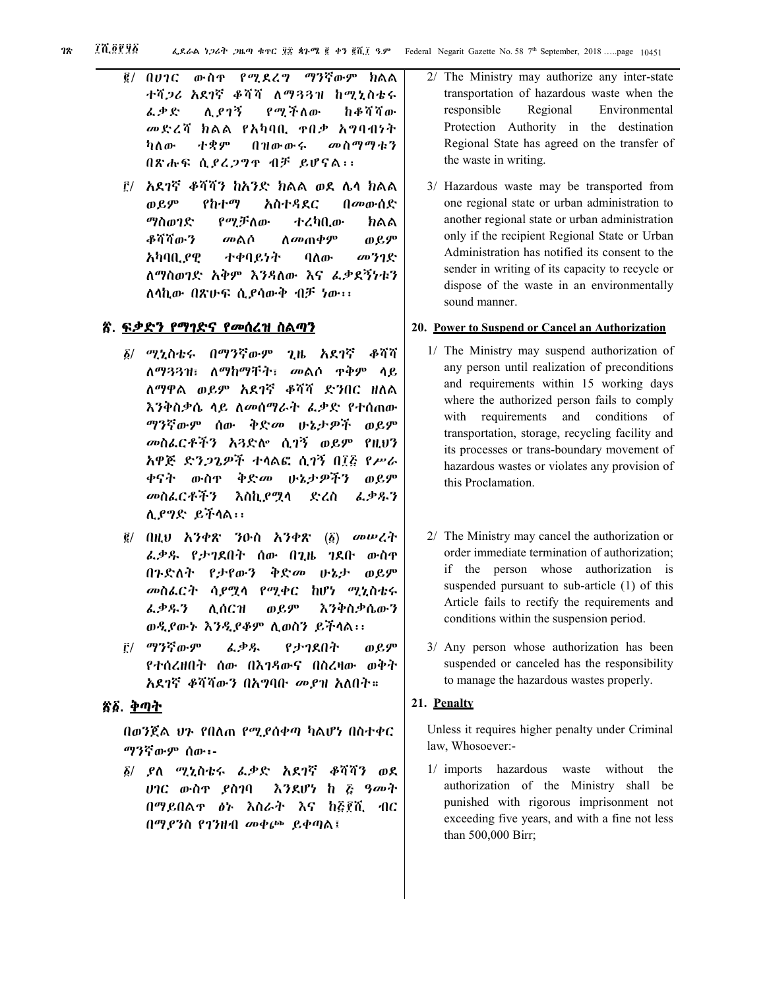- ማንኛውም ክልል  $g/$   $007C$ ው ስዋ የሚደረግ ተሻጋሪ አደገኛ ቆሻሻ ለማ33ዝ ከሚኒስቴሩ ፌቃድ ሊ ያገኝ የሚችለው ከቆሻሻው መድረሻ ክልል የአካባቢ ዋበቃ አግባብነት ካለው ተቋም በዝውውና መስማማቱን በጽሑፍ ሲያረጋግዋ ብቻ ይሆናል፡፡
- ፫/ አደገኛ ቆሻሻን ከአንድ ክልል ወደ ሌላ ክልል ወይም የከተማ አስተዳደር በመውሰድ ማስወገድ የሚቻለው ተረካቢው ክልል ቆሻሻውን ስመጠቀም ወይም መልሶ አካባቢ ያዊ ተቀባይነት ባለው መንገድ ለማስወገድ አቅም እንዳለው እና ፌቃደኝነቱን ለሳኪው በጽሁፍ ሲደሳውቅ ብቻ ነው፡፡

#### <u>፳. <u>ፍቃድን የማገድና የመሰረዝ ስልጣን</u></u>

- *δ/ ማኒ*ስቴሩ በማንኛውም ጊዜ አደገኛ ቆሻሻ ለማጓጓዝ፣ ለማከማቸት፣ መልሶ ዋቅም ላይ ለማዋል ወይም አደገኛ ቆሻሻ ድንበር ዘለል እንቅስቃሴ ላይ ለመሰማራት ፌቃድ የተሰጠው ማንኛውም ሰው ቅድመ ሁኔታዎች ወይም መስፌርቶችን አጓድሎ ሲገኝ ወይም የዚህን አዋጅ ድንጋጌዎች ተላልፎ ሲገኝ በ፲፩ የሥራ ቀናት ውስኖ ቅድመ ሁኔታዎችን ወይም መስፌርቶችን እስኪያሟላ ድረስ ፌቃዱን ሊያግድ ይችላል::
- $\tilde{g}$ / በዚህ አንቀጽ ንዑስ አንቀጽ  $(\tilde{g})$  መሠረት ፌቃዱ የታገደበት ሰው በጊዜ ገደቡ ውስዋ በጉድለት የታየውን ቅድመ ሁኔታ ወይም መስፌርት ሳያሟላ የሚቀር ከሆነ ሚኒስቴሩ እንቅስቃሴውን ፌቃዱን  $\Lambda$ 0 $C$ H ወይም ወዲያውኑ እንዲያቆም ሲወስን ይችላል፡፡
- ቮ/ ማንኛውም ፌቃዱ የታንደበት ወይም የተሰረዘበት ሰው በእንዳውና በስረዛው ወቅት አደገኛ ቆሻሻውን በአግባቡ መያዝ አለበት።

# <u>ኛ፩ ቅጣት</u>

በወንጀል ህን የበለጠ የሚያሰቀጣ ካልሆነ በስተቀር ማንኛውም ሰው፡-

፩/ ያለ ሚኒስቴሩ ፌቃድ አደገኛ ቆሻሻን ወደ **እንደሆነ ከ & ዓመት** ሀገር ውስኖ ያስገባ በማይበልዋ *ል*ኑ እስራት እና ከጅቮሺ ብር በማያንስ የኀንዘብ መቀጮ ይቀጣል፤

- The Ministry may authorize any inter-state  $2/$ transportation of hazardous waste when the Regional responsible Environmental Protection Authority in the destination Regional State has agreed on the transfer of the waste in writing.
- 3/ Hazardous waste may be transported from one regional state or urban administration to another regional state or urban administration only if the recipient Regional State or Urban Administration has notified its consent to the sender in writing of its capacity to recycle or dispose of the waste in an environmentally sound manner.

#### 20. Power to Suspend or Cancel an Authorization

- 1/ The Ministry may suspend authorization of any person until realization of preconditions and requirements within 15 working days where the authorized person fails to comply with requirements and conditions of transportation, storage, recycling facility and its processes or trans-boundary movement of hazardous wastes or violates any provision of this Proclamation.
- 2/ The Ministry may cancel the authorization or order immediate termination of authorization: if the person whose authorization is suspended pursuant to sub-article (1) of this Article fails to rectify the requirements and conditions within the suspension period.
- 3/ Any person whose authorization has been suspended or canceled has the responsibility to manage the hazardous wastes properly.

#### 21. Penalty

Unless it requires higher penalty under Criminal law, Whosoever:-

1/ imports hazardous waste without the authorization of the Ministry shall be punished with rigorous imprisonment not exceeding five years, and with a fine not less than 500,000 Birr;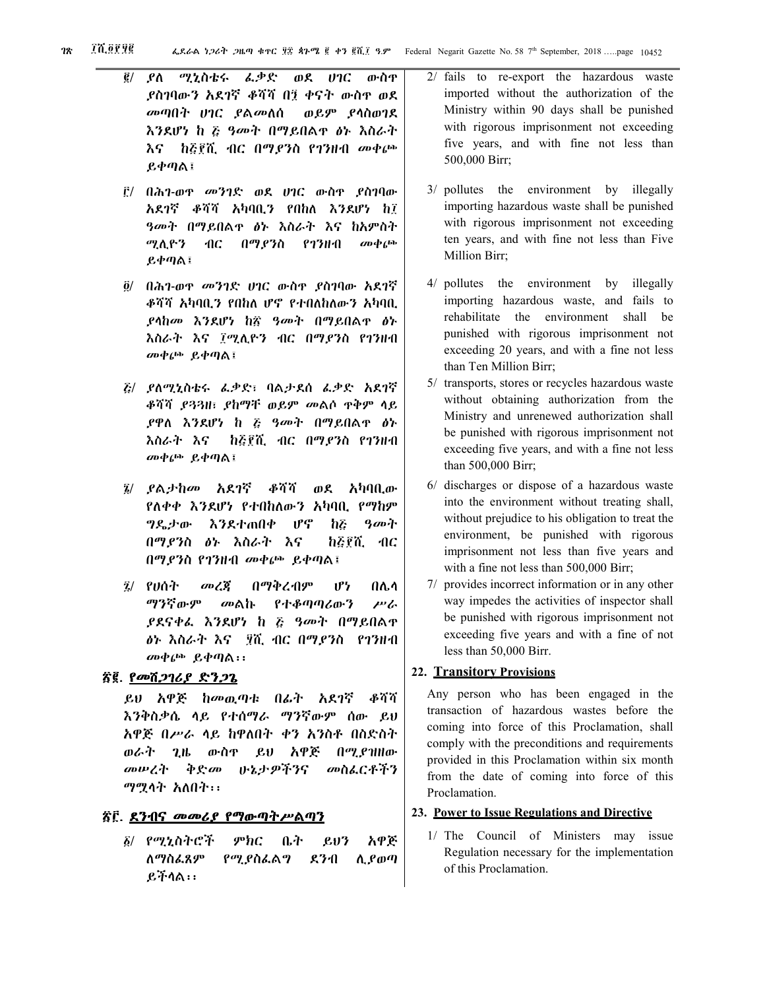#### **IN.OPTE**  $28$

- ፌቃድ  $\vec{g}/$ ሚኒስቴሩ ወደ ሀገር ውስዋ ያለ ያስገባውን አደገኛ ቆሻሻ በ፺ ቀናት ውስዋ ወደ መጣበት ሀገር ያልመለሰ ወይም ያሳስወገደ እንደሆነ ከ ፩ ዓመት በማይበልዋ ዕኑ እስራት <u>እና ከጅጀሺ ብር በማይንስ የገንዘብ መቀጮ</u> ይቀጣል፤
- ፫/ በሕገ-ወዋ መንገድ ወደ ሀገር ውስዋ *ያ*ስገባው አደገኛ ቆሻሻ አካባቢን የበከለ እንደሆነ ከ፲ ዓመት በማይበልዋ ዕኑ እስራት እና ከአምስት ሚሊዮን  $\omega \phi$  (bb  $AC$ በማ ያንስ  $972H<sub>1</sub>$ ይቀጣል፤
- $\tilde{\theta}$ / በሕገ-ወዋ መንገድ ሀገር ውስዋ ያስገባው አደገኛ ቆሻሻ አካባቢን የበከለ ሆኖ የተበለከለውን አካባቢ *ያላከመ እን*ደሆነ ከ፳ ዓመት በማይበልዋ *ዕኑ* እስራት እና ፲ሚሊዮን ብር በማይንስ የገንዘብ መቀጮ ይቀጣል፤
- ፩/ ያለሚኒስቴሩ ፌቃድ፣ ባልታደሰ ፌቃድ አደገኛ ቆሻሻ *ያጓጓ*ዘ፣ *ያከማች ወይም መ*ልሶ ዋቅም ላይ *ያ*ዋለ እንደሆነ ከ *ξ ዓመት* በማይበልዋ *ዕ*ኑ እስራት እና ከጅ፻ሺ ብር በማይንስ የገንዘብ መቀጮ ይቀጣል፤
- *፤/ ያልታከመ አ*ደገኛ ቆሻሻ ወደ አካባቢው የለቀቀ እንደሆነ የተበከለውን አካባቢ የማከም լբգ ግዴታው **እንደተ**ጠበቀ hā ዓመት በማያንስ *ዕኑ* እስራት እና ከቆ፻ሺ ብር በማያንስ የገንዘብ መቀጮ ይቀጣል፤
- $\tilde{z}$   $\ell$   $\theta$   $\tilde{z}$   $\tilde{z}$ መረጃ በማቅረብም በሌሳ լք'չ ማንኛውም መልኩ የተቆጣጣሪውን  $P$ *ያ*ደናቀፌ እንደሆነ ከ ፩ ዓመት በማይበልዋ *ዕኑ እስራት እና ຼີ*1ሺ ብር በማ*ያን*ስ የገንዘብ መቀጮ ይቀጣል፡፡

# <u>ኛ፪. የመሽጋገሪያ ድንጋጌ</u>

ይህ አዋጅ ከመዉጣቱ በፊት አደገኛ ቆሻሻ እንቅስቃሴ ላይ የተሰማራ ማንኛውም ሰው ይህ አዋጅ በሥራ ላይ ከዋለበት ቀን አንስቶ በስድስት አዋጅ ንዜ ውስዋ ወራት  $0<sup>q</sup>$  *PHHa* $g_{\rm H}$ መሠረት ቅድመ いねナダች35 መስፌርቶችን ማሟላት አለበት፡፡

# ፳፫ ደንብና መመሪያ የማውጣትሥልጣን

*δ/ የሚኒስትሮች* ምክር ቤት  $80?$ አዋጅ <u>ለማስፌ</u>ጿም የሚያስፌልግ ሲያወጣ  $83-1$ ይችሳል፡፡

- $2/$ fails to re-export the hazardous waste imported without the authorization of the Ministry within 90 days shall be punished with rigorous imprisonment not exceeding five years, and with fine not less than 500,000 Birr;
- 3/ pollutes the environment by illegally importing hazardous waste shall be punished with rigorous imprisonment not exceeding ten years, and with fine not less than Five Million Birr;
- 4/ pollutes the environment by illegally importing hazardous waste, and fails to rehabilitate the environment shall be punished with rigorous imprisonment not exceeding 20 years, and with a fine not less than Ten Million Birr;
- 5/ transports, stores or recycles hazardous waste without obtaining authorization from the Ministry and unrenewed authorization shall be punished with rigorous imprisonment not exceeding five years, and with a fine not less than 500,000 Birr;
- 6/ discharges or dispose of a hazardous waste into the environment without treating shall, without prejudice to his obligation to treat the environment, be punished with rigorous imprisonment not less than five years and with a fine not less than 500,000 Birr;
- 7/ provides incorrect information or in any other way impedes the activities of inspector shall be punished with rigorous imprisonment not exceeding five years and with a fine of not less than  $50.000$  Birr.

#### **22. Transitory Provisions**

Any person who has been engaged in the transaction of hazardous wastes before the coming into force of this Proclamation, shall comply with the preconditions and requirements provided in this Proclamation within six month from the date of coming into force of this Proclamation.

#### 23. Power to Issue Regulations and Directive

1/ The Council of Ministers may issue Regulation necessary for the implementation of this Proclamation.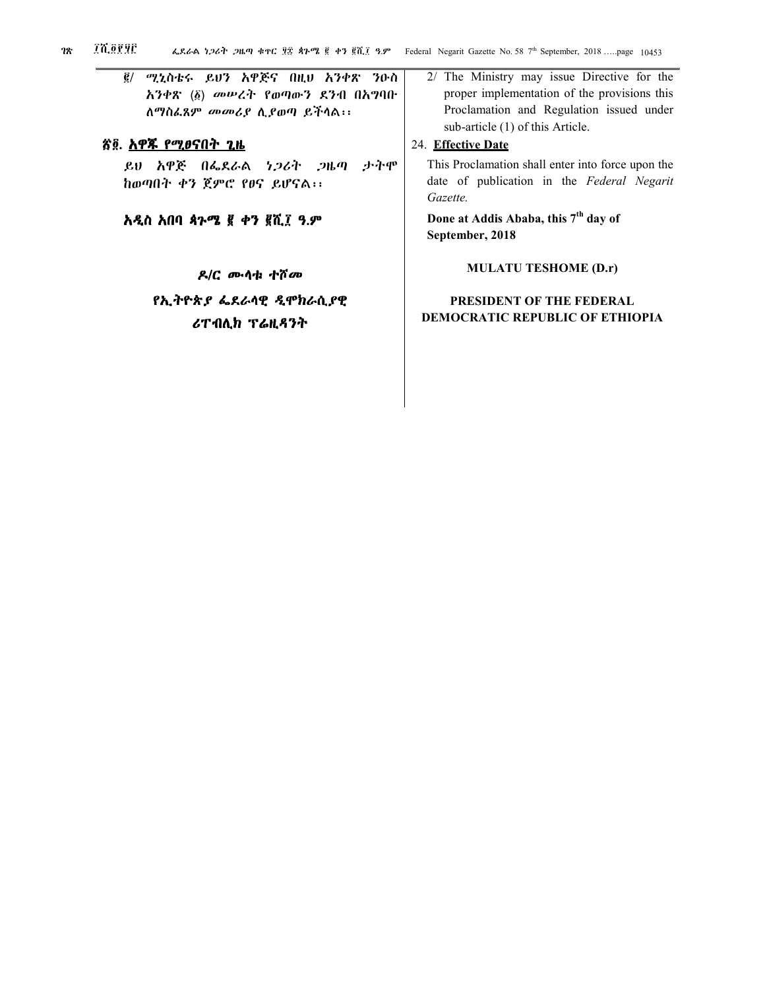#### **THEFIF**  $28$

| <i>፪/ ሚኒ</i> ስቴሩ ይሀን አዋጅና በዚህ አንቀጽ ንዑስ<br>አንቀጽ (፩) መሥረት የወጣውን ደንብ በአግባቡ<br>ለማስፌጸም መመሪያ ሲያወጣ ይችሳል፡፡ | 2/ The Ministry may issue Directive for the<br>proper implementation of the provisions this<br>Proclamation and Regulation issued under<br>sub-article (1) of this Article. |
|----------------------------------------------------------------------------------------------------|-----------------------------------------------------------------------------------------------------------------------------------------------------------------------------|
| <u>ኛ፬. አዋጁ የሚፀናበት ጊዜ</u>                                                                           | 24. Effective Date                                                                                                                                                          |
| ይህ አዋጅ በፌደራል <i>ነጋ</i> ሪት <i>ጋ</i> ዜጣ<br>ナヤや<br>ከወጣበት ቀን ጀምሮ የፀና ይሆናል፡፡                            | This Proclamation shall enter into force upon the<br>date of publication in the Federal Negarit<br>Gazette.                                                                 |
| አዲስ አበባ ጳጉሜ ፪ ቀን ፪ሺ፲ ዓ.ም                                                                           | Done at Addis Ababa, this 7 <sup>th</sup> day of<br>September, 2018                                                                                                         |
| ዶ/C ሙሳቱ ተሾመ                                                                                        | <b>MULATU TESHOME (D.r)</b>                                                                                                                                                 |
| የኢትዮጵያ ፌደራሳዊ ዲሞክራሲያዊ                                                                               | <b>PRESIDENT OF THE FEDERAL</b>                                                                                                                                             |
| ሪፐብሊክ ፕሬዚዳንት                                                                                       | <b>DEMOCRATIC REPUBLIC OF ETHIOPIA</b>                                                                                                                                      |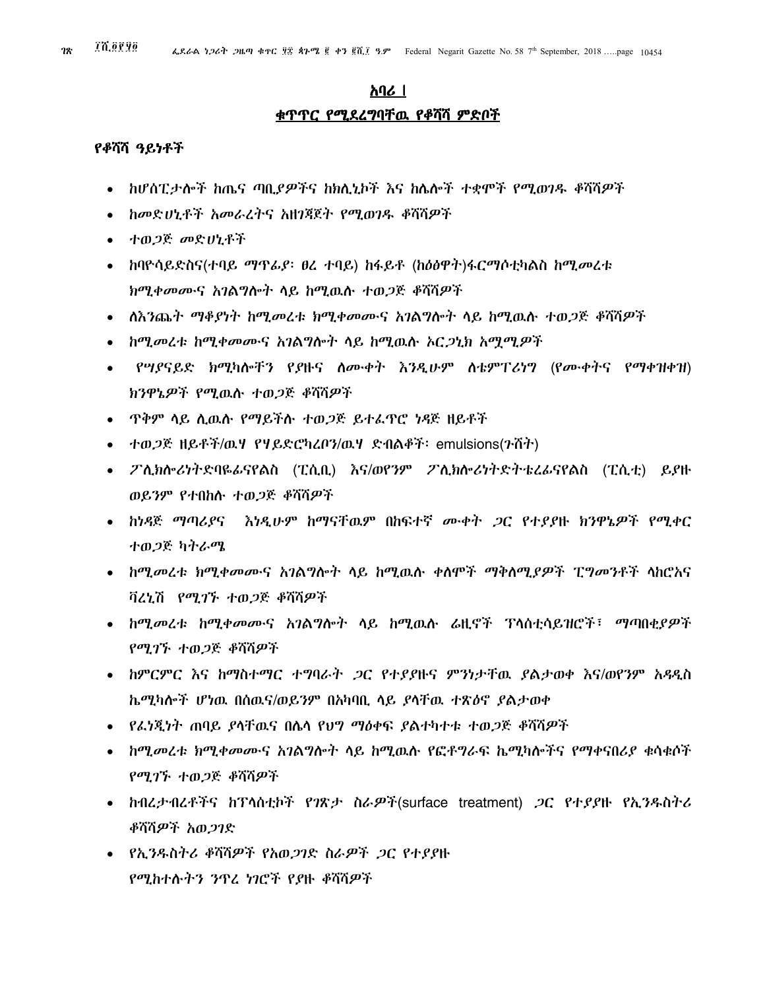# አባሪ 1

# ቁጥጥር የሚደረግባቸዉ የቆሻሻ ምድቦች

# የቆሻሻ ዓይነቶች

- \_ ከሆስፒ*ታ*ሎች ከጤና ጣቢ*ያዎች*ና ከክሊኒኮች እና ከሌሎች ተቋሞች የሚወገዱ ቆሻሻ*ዎች*
- ከመድሀኒቶች አመራረትና አዘገጃጀት የሚወገዱ ቆሻሻዎች
- ተወ*ጋ*ጅ መድሀኒቶች
- ከባዮሳይድስና(ተባይ ማዋፊያ፡ ፀረ ተባይ) ከፋይቶ (ከዕፅዋት)ፋርማሶቲካልስ ከሚመረቱ *ከሚቀመሙ*ና *አገ*ልግሎት ሳይ ከሚዉሱ ተወ*ጋ*ጅ ቆሻሻ*ዎች*
- ሰእንጨት ማቆያነት ከሚመረቱ ክሚቀመሙና አገልግሎት ላይ ከሚዉሱ ተወ*ጋ*ጅ ቆሻሻዎች
- ከሚመረቱ ከሚቀመሙና አገልግሎት ላይ ከሚወሉ አር*ጋ*ኒክ አሟሚዎች
- የሣያናይድ ክሚካሎቸን የያዙና ስሙቀት እንዲሁም ስቴምፐሪነግ (የሙቀትና የማቀዝቀዝ) ክንዋኔዎች የሚዉሱ ተወጋጅ ቆሻሻዎች
- ዋቅም ሳይ ሲዉሱ የማይችሱ ተወ*ጋ*ጅ ይተፌዋሮ ነዳጅ ዘይቶች
- ተወጋጅ ዘይቶች/ዉሃ የሃይድሮካረቦን/ዉሃ ድብልቶች፡ emulsions(ንሽት)
- ፖለክሎሪነትድባዬፊናየልስ (ፒሲቢ) እና/ወየንም ፖለክሎሪነትድትቴሬፊናየልስ (ፒሲቲ) ይያዙ ወይንም የተበከሱ ተወጋጅ ቆሻሻዎች
- ከነዳጅ ማጣሪያና እነዲሁም ከማናቸዉም በከፍተኛ ሙቀት ጋር የተያያዙ ክንዋኔዎች የሚቀር ተወጋጅ ካትራሚ
- ከሚመረቱ ክሚቀመሙና አገልግሎት ላይ ከሚዉሱ ቀስሞች ማቅስሚያዎች ፒግመንቶች ሳከሮአና ቫረኒሽ የሚገኙ ተወጋጅ ቆሻሻዎች
- ከሚመረቱ ከሚቀመሙና አንልግሎት ላይ ከሚዉሱ ሬዚኖች ፕላስቲሳይዝሮች፣ ማጣበቂያዎች
- የሚገኙ ተወጋጅ ቆሻሻዎች • ከምርምር እና ከማስተማር ተግባራት ጋር የተያያዙና ምንነታቸዉ ያልታወቀ እና/ወየንም አዳዲስ
- ኬሚካሎች ሆነዉ በሰዉና/ወይንም በአካባቢ ሳይ ያሳቸዉ ተጽዕኖ ያልታወቀ
- የፌነጂነት ጠባይ ያላቸዉና በሴሳ የህግ ማዕቀፍ ያልተካተቱ ተወ*ጋ*ጅ ቆሻሻዎች
- ከሚመረቱ ክሚቀመሙና አገልግሎት ላይ ከሚዉሱ የፎቶግራፍ ኬሚካሎችና የማቀናበሪያ ቁሳቁሶች የሚገኙ ተወጋጅ ቆሻሻዎች
- ከብረታብረቶችና ከፕላሰቲኮች የገጽታ ስራዎች(surface treatment) ጋር የተያያዙ የኢንዱስትሪ ቆሻሻዎች አወ*ጋገ*ድ
- የኢንዱስትሪ ቆሻሻዎች የአወ*ጋገ*ድ ስራዎች *ጋ*ር የተያያዙ የሚከተሉትን ንጥረ ነገሮች የያዙ ቆሻሻዎች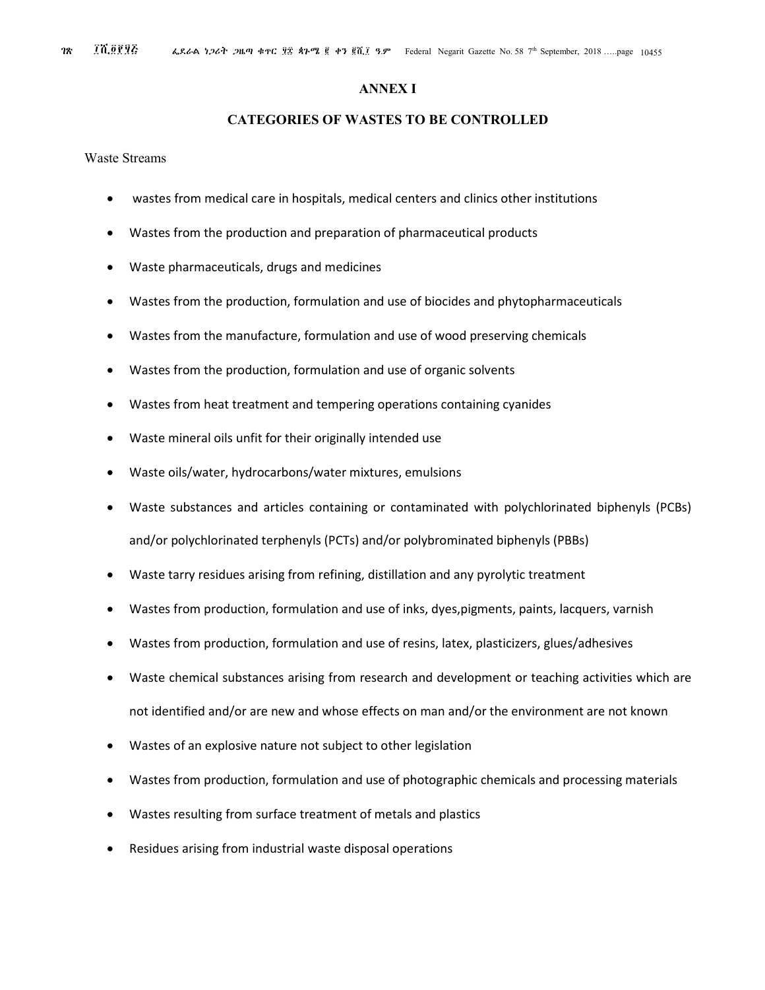#### **ANNEX I**

# **CATEGORIES OF WASTES TO BE CONTROLLED**

Waste Streams

- wastes from medical care in hospitals, medical centers and clinics other institutions
- Wastes from the production and preparation of pharmaceutical products
- Waste pharmaceuticals, drugs and medicines
- Wastes from the production, formulation and use of biocides and phytopharmaceuticals
- Wastes from the manufacture, formulation and use of wood preserving chemicals
- Wastes from the production, formulation and use of organic solvents
- Wastes from heat treatment and tempering operations containing cyanides
- Waste mineral oils unfit for their originally intended use
- Waste oils/water, hydrocarbons/water mixtures, emulsions
- Waste substances and articles containing or contaminated with polychlorinated biphenyls (PCBs) and/or polychlorinated terphenyls (PCTs) and/or polybrominated biphenyls (PBBs)
- Waste tarry residues arising from refining, distillation and any pyrolytic treatment
- Wastes from production, formulation and use of inks, dyes,pigments, paints, lacquers, varnish
- Wastes from production, formulation and use of resins, latex, plasticizers, glues/adhesives
- Waste chemical substances arising from research and development or teaching activities which are not identified and/or are new and whose effects on man and/or the environment are not known
- Wastes of an explosive nature not subject to other legislation
- Wastes from production, formulation and use of photographic chemicals and processing materials
- Wastes resulting from surface treatment of metals and plastics
- Residues arising from industrial waste disposal operations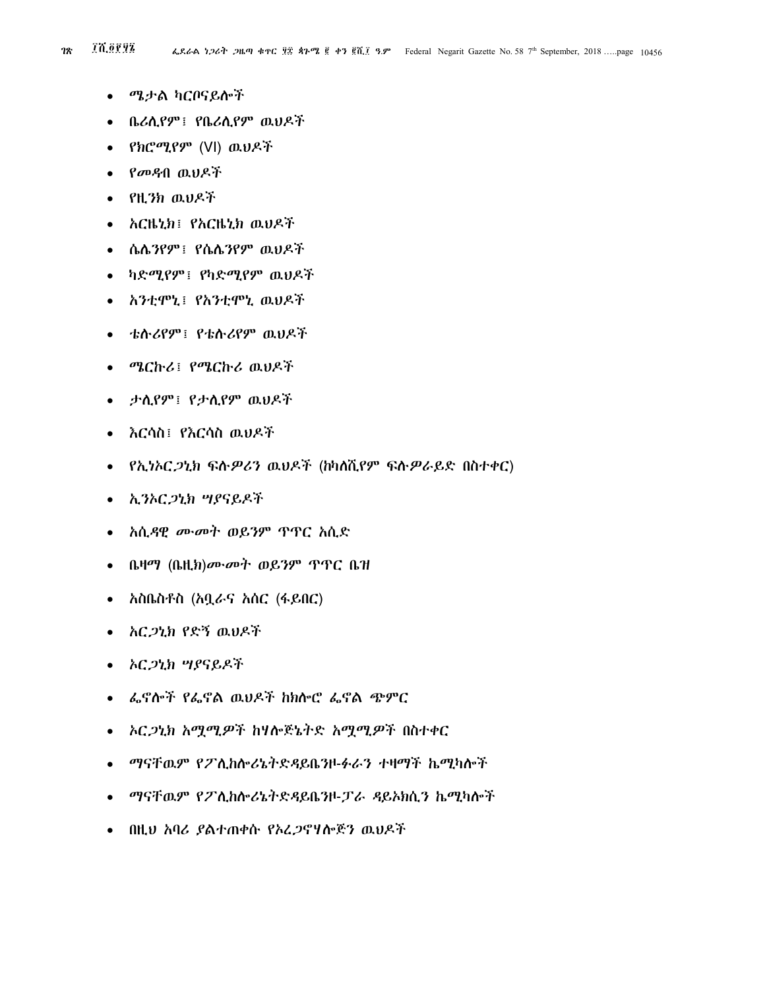- በዚህ አባሪ ያልተጠቀሱ የኦረ*ጋ*ኖሃሎጅን ዉህዶች
- ማናቸዉም የፖሊከሎሪኔትድዳይቤንዞ-ፓራ ዳይኦክሲን ኬሚካሎች
- ማናቸዉም የፖሊከስ•ሪኔትድዳይቤንዞ-ፉራን ተዛማች ኬሚካሎች
- አርጋኒክ አሚሚዎች ከሃሎጅኔትድ አሚሚዎች በስተቀር
- ፌኖሎች የፌኖል ዉህዶች ከክሎሮ ፌኖል ጭምር
- አር*ጋኒክ ግያ*ናይዶች
- አር*ጋኒክ የድኝ ዉህዶች*
- $\Delta$ ስቤስቶስ (አቧራና አሰር (ፋይበር)
- ? (z&)N25 /R \
- አሲ*ዳዊ ሙ* መት ወይንም ጥዋር አሲድ
- ኢንኦር*ጋኒክ ግያናይዶች*
- የኢነኦር*ጋኒክ ፍሉዎሪን ዉህዶች (ከ*ካለሺየም ፍሉ*ዎራይ*ድ በስተቀር)
- እርሳስ፣ የእርሳስ ዉህዶች
- ታሲየም፤ የታሲየም ዉህዶች
- ሜርኩሪ፤ የሜርኩሪ ዉህዶች
- ቴሱሪየም፤ የቴሱሪየም ዉህዶች
- አንቲሞኒ፤ የአንቲሞኒ ዉህዶች
- ካድሚየም፤ የካድሚየም ዉህዶች
- ሴሴንየም፤ የሴሴንየም ዉህዶች
- (& (&
- የዚንክ ዉህዶች
- *የመዳ*ብ ዉህዶች
- የክሮሚየም (VI) ዉህዶች
- ቤሪሲየም፤ የቤሪሲየም ዉህዶች
- ሜታል ካርቦናይሎች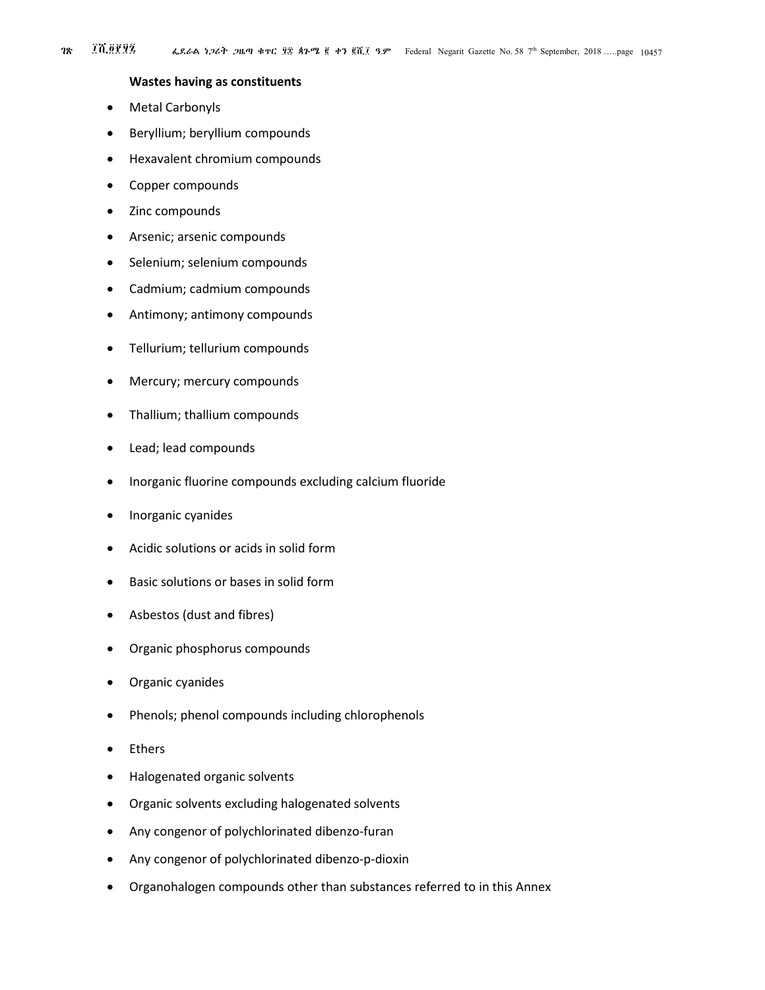#### **Wastes having as constituents**

- Metal Carbonyls
- Beryllium; beryllium compounds
- Hexavalent chromium compounds
- Copper compounds
- Zinc compounds
- Arsenic; arsenic compounds
- Selenium; selenium compounds
- Cadmium; cadmium compounds
- Antimony; antimony compounds
- Tellurium; tellurium compounds
- Mercury; mercury compounds
- Thallium; thallium compounds
- Lead; lead compounds
- Inorganic fluorine compounds excluding calcium fluoride
- Inorganic cyanides
- Acidic solutions or acids in solid form
- Basic solutions or bases in solid form
- Asbestos (dust and fibres)
- Organic phosphorus compounds
- Organic cyanides
- Phenols; phenol compounds including chlorophenols
- Ethers
- Halogenated organic solvents
- Organic solvents excluding halogenated solvents
- Any congenor of polychlorinated dibenzo-furan
- Any congenor of polychlorinated dibenzo-p-dioxin
- Organohalogen compounds other than substances referred to in this Annex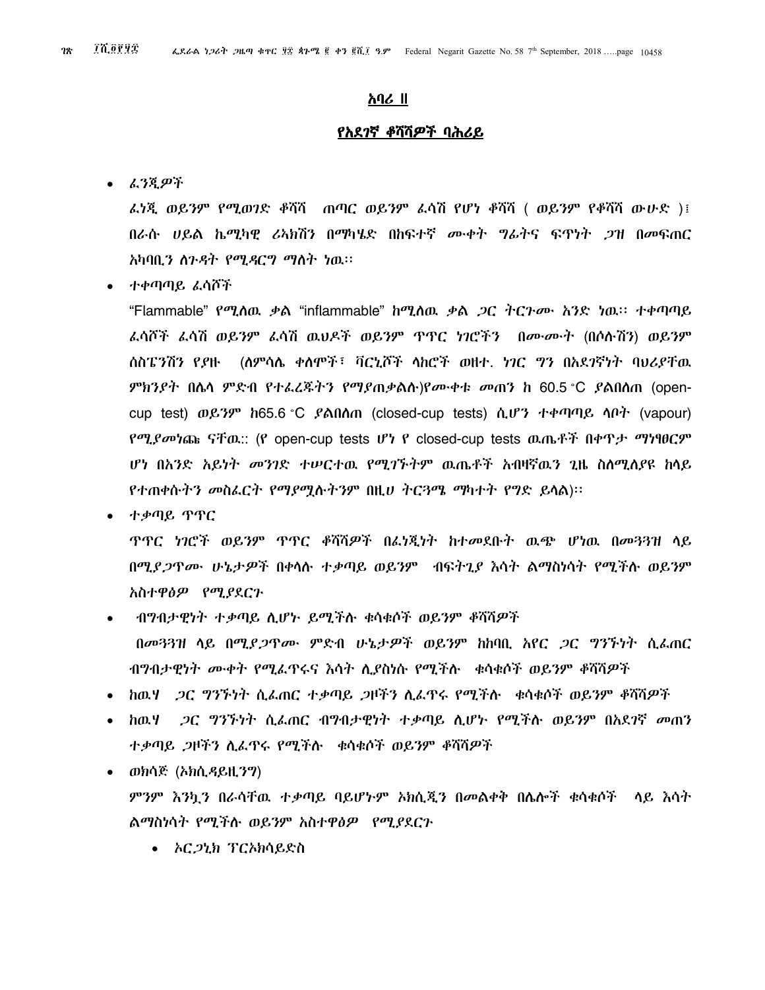#### <u>አባሪ ॥</u>

# የአደ*ገ*ኛ ቆሻሻዎች ባሕሪይ

• ፈንጂዎች

ፌነጂ ወይንም የሚወገድ ቆሻሻ ጠጣር ወይንም ፌሳሽ የሆነ ቆሻሻ ( ወይንም የቆሻሻ ውሁድ )፤ በራሱ ሀይል ኬሚካዊ ሪኣክሽን በማካሄድ በከፍተኛ ሙቀት ግፊትና ፍዋነት *ጋ*ዝ በመፍጠር አካባቢን ስንዳት የሚዳርግ ማስት ነዉ፡፡

• ተቀጣጣይ ፈሳሾች

"Flammable" የሚሰዉ ቃል "inflammable" ከሚሰዉ ቃል *ጋ*ር ትርጉሙ አንድ ነዉ፡፡ ተቀጣጣይ ፌሳሾች ፌሳሽ ወይንም ፌሳሽ ዉህዶች ወይንም ጥዋር ነገሮችን - በሙሙት (በሶሱሽን) ወይንም ሰስፔንሽን የያዙ - (ለምሳሌ ቀለሞች፣ ቫርኒሾች ላከሮች ወዘተ. ነገር ግን በአደገኛነት ባህሪያቸዉ *ምክንያት* በሌላ ምድብ የተ*ፌረችትን የማያጠቃ*ልሉ)የ*ሙቀቱ መ*ጠን ከ 60.5 °C *ያ*ልበለጠ (opencup test)  $\omega$ *C*39° h65.6 °C *SANAM* (closed-cup tests)  $\Lambda \nu$ 3 +  $\nu$ mm<sub>*C*</sub>  $\Lambda \nu$  (vapour) Pሚያመነጩ ናቸዉ:: (የ open-cup tests ሆነ የ closed-cup tests ዉጤቶች በቀጥታ ማነፃፀርም ሆነ በአንድ አይነት *መንገ*ድ ተሥርተዉ የሚገኙትም ዉጤቶች አብዛኛዉን ጊዜ ስለሚለያዩ ከላይ የተጠቀሱትን መስፌርት የማያሟሉትንም በዚሀ ትርጓሜ ማካተት የግድ ይላል)፡፡

• ተቃጣይ ዋዋር

ዋዋር ነገሮች ወይንም ዋዋር ቆሻሻዎች በፌነጂነት ከተመደቡት ዉጭ ሆነዉ በመጓጓዝ ላይ በሚደ*ጋ*ዋሙ ሁኔታዎች በቀሳሉ ተቃጣይ ወይንም - በፍትጊደ እሳት ልማስነሳት የሚችሉ ወይንም አስተዋፅዎ የሚያደርጉ

ብግብታዊነት ተቃጣይ ሲሆኑ ይሚችሉ ቁሳቁሶች ወይንም ቆሻሻዎች  $\bullet$ 

በመጓጓዝ ላይ በሚደጋዋሙ ምድብ ሁኔታዎች ወይንም ከከባቢ አየር *ጋ*ር ግንኙነት ሲፈጠር ብግብታዊነት ሙቀት የሚፌዋሩና እሳት ሲያስነሱ የሚችሉ - ቁሳቁሶች ወይንም ቆሻሻዎች

- ከዉሃ ጋር ግንኙነት ሲፌጠር ተቃጣይ ጋዞችን ሲፌዋሩ የሚችሉ ቁሳቁሶች ወይንም ቆሻሻዎች  $\bullet$
- *ከዉሃ 2C ግንኙነት ሲፌ*ጠር ብግብታዊነት ተቃጣይ ሲሆኑ የሚችሱ ወይንም በአደ*ገ*ኛ *መ*ጠን  $\bullet$ ተቃጣይ ጋዞችን ሲፌዋሩ የሚችሉ - ቁሳቁሶች ወይንም ቆሻሻዎች
- $\bullet$  ወክሳጅ (ኦክሲዳይዚንግ)

ምንም እንኳን በራሳቸዉ ተቃጣይ ባይሆኑም አክሲጂን በመልቀቅ በሴሎች ቁሳቁሶች ላይ እሳት ልማስነሳት የሚችሉ ወይንም አስተዋፅዎ የሚያደርጉ

 $\bullet$   $\lambda$ C  $2$ h TC $\lambda$ holeen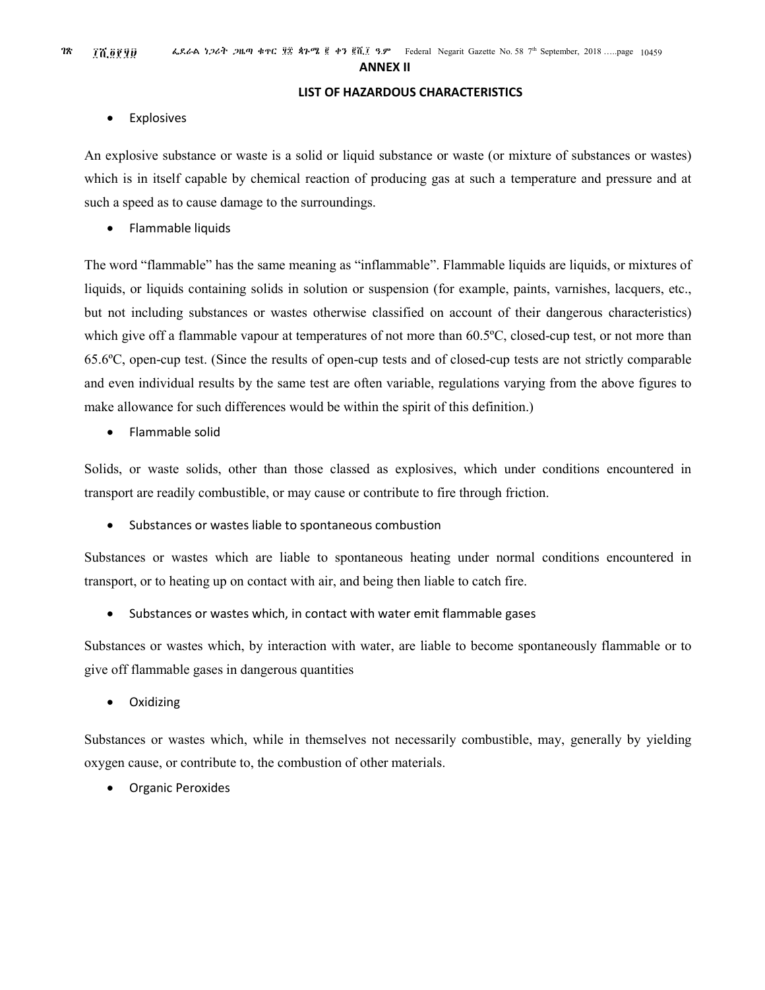ፌደራል ነጋሪት ጋዜጣ ቁጥር ፶፰ ጳጉሜ ፪ ቀን ፪ሺ፲ ዓ.ም Federal Negarit Gazette No. 58 7<sup>th</sup> September, 2018 .....page 10459

#### **ANNEX II**

#### **LIST OF HAZARDOUS CHARACTERISTICS**

#### • Explosives

An explosive substance or waste is a solid or liquid substance or waste (or mixture of substances or wastes) which is in itself capable by chemical reaction of producing gas at such a temperature and pressure and at such a speed as to cause damage to the surroundings.

• Flammable liquids

The word "flammable" has the same meaning as "inflammable". Flammable liquids are liquids, or mixtures of liquids, or liquids containing solids in solution or suspension (for example, paints, varnishes, lacquers, etc., but not including substances or wastes otherwise classified on account of their dangerous characteristics) which give off a flammable vapour at temperatures of not more than 60.5<sup>o</sup>C, closed-cup test, or not more than 65.6ºC, open-cup test. (Since the results of open-cup tests and of closed-cup tests are not strictly comparable and even individual results by the same test are often variable, regulations varying from the above figures to make allowance for such differences would be within the spirit of this definition.)

• Flammable solid

Solids, or waste solids, other than those classed as explosives, which under conditions encountered in transport are readily combustible, or may cause or contribute to fire through friction.

• Substances or wastes liable to spontaneous combustion

Substances or wastes which are liable to spontaneous heating under normal conditions encountered in transport, or to heating up on contact with air, and being then liable to catch fire.

• Substances or wastes which, in contact with water emit flammable gases

Substances or wastes which, by interaction with water, are liable to become spontaneously flammable or to give off flammable gases in dangerous quantities

• Oxidizing

Substances or wastes which, while in themselves not necessarily combustible, may, generally by yielding oxygen cause, or contribute to, the combustion of other materials.

• Organic Peroxides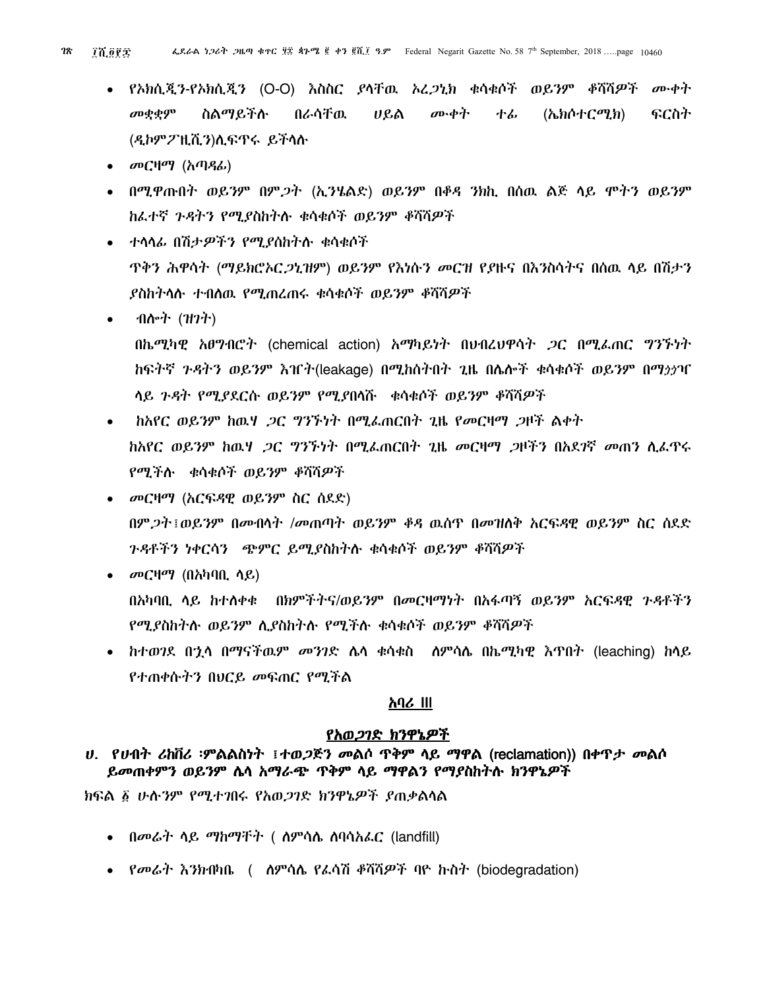- የኦክሲጂን-የኦክሲጂን (O-O) እስስር ያሳቸዉ ኦፈ*ጋ*ኒክ ቁሳቁሶች ወይንም ቆሻሻዎች ሙቀት ስልማይችሉ በራሳቸዉ ሙቀት መቋቋም ሀይል ተፊ (ኤክሶተርሚክ) ፍርስት (ዲኮምፖዚሺን)ሲፍጥሩ ይችሳሱ
- $\bullet$   $\sigma$ <sup>D</sup>C<sup>H</sub> $\sigma$ </sup>J (አጣዳራ)
- በሚዋጡበት ወይንም በም*ጋ*ት (ኢንሄልድ) ወይንም በቆዳ ንክኪ በሰዉ ልጅ ላይ ሞትን ወይንም ከፌተኛ ንዳትን የሚያስከትሉ ቁሳቁሶች ወይንም ቆሻሻዎች
- ተሳሳ*ሌ* በሽታ*ዎችን የሚያ*ሰከትሱ ቁሳቁሶች  $\bullet$  ዋቅን ሕዋሳት (ማይክሮኦር*ጋኒዝ*ም) ወይንም የእነሱን መርዝ የያዙና በእንስሳትና በሰዉ ላይ በሽታን *ያ*ስከተላሉ ተብለዉ የሚጠረጠሩ ቁሳቁሶች ወይንም ቆሻሻ*ዎች*
- ብሎት (ዝ*ገ*ት)

በኬሚካዊ አፀግብሮት (chemical action) አማካይነት በህብረህዋሳት ጋር በሚፌጠር ግንኙነት ከፍትኛ ጉዳትን ወይንም እገናት(leakage) በሚከሰትበት ጊዜ በሴሎች ቁሳቁሶች ወይንም በማታታገ ሳይ ጉዳት የሚያደርሱ ወይንም የሚያበሳሹ ቁሳቁሶች ወይንም ቆሻሻዎች

- ከአየር ወይንም ከዉሃ *ጋ*ር ግንኙነት በሚፌጠርበት ጊዜ የመርዛማ *ጋ*ዞች ልቀት ከአየር ወይንም ከዉሃ *ጋ*ር ግንኙነት በሚፌጠርበት ጊዜ መርዛማ *ጋ*ዞችን በአደ*ገ*ኛ መጠን ሲፌዋሩ የሚችሉ ቁሳቁሶች ወይንም ቆሻሻዎች
- $\bullet$   $\sigma$   $C$ ዞማ (አ $C$ ፍዳዊ ወይንም ስ $C$  ሰደድ) በም*ጋት* ፤ወይንም በመብሳት /መጠጣት ወይንም ቆዳ ዉስጥ በመዝሰቅ አርፍዳዊ ወይንም ስር ሰደድ *ጉዳ*ቶችን ነቀርሳን *ጭምር ይሚያ*ስከትሱ ቁሳቁሶች ወይንም ቆሻሻ*ዎ*ች
- *መርዛማ (*በአካባቢ ሳይ)  $\bullet$ በአካባቢ ላይ ከተለቀቁ በክምችትና/ወይንም በመርዛማነት በአፋጣኝ ወይንም አርፍዳዊ ጉዳቶችን
- 
- ከተወንደ በኋላ በማናችዉም *መንገ*ድ ሴላ ቁሳቁስ ለምሳሌ በኬሚካዊ እጥበት (leaching) ከላይ

<u>አባሪ Ⅲ</u>

- 
- 
- 
- 
- 
- 
- 
- 
- *የተጠቀ*ሱትን በሀርይ መፍጠር የሚችል

የአወ*ጋገ*ድ ክንዋኔ*ዎች ህ. የህብት ሪከበሪ ፡ም*ልልስነት ፤*ተወጋጅን መ*ልሶ ዋቅም ላይ ማዋል (reclamation)) በቀዋ*ታ መ*ልሶ

ይመጠቀምን ወይንም ሴሳ አማራጭ ጥቅም ሳይ ማዋልን የማያስከትሱ ክንዋኔዎች

• የመራት እንክብካቤ ( ለምሳሌ የፈሳሽ ቆሻሻዎች ባዮ ኩስት (biodegradation)

ክፍል ፩ ሁሱንም የሚተገበሩ የአወ*ጋገ*ድ ክንዋኔ*ዎች ያ*ጠቃልሳል

• በመራት ሳይ ማከማቸት ( ስምሳሴ ስባሳአፌር (landfill)

የሚያስከትሱ ወይንም ሲያስከትሱ የሚችሱ ቁሳቁሶች ወይንም ቆሻሻዎች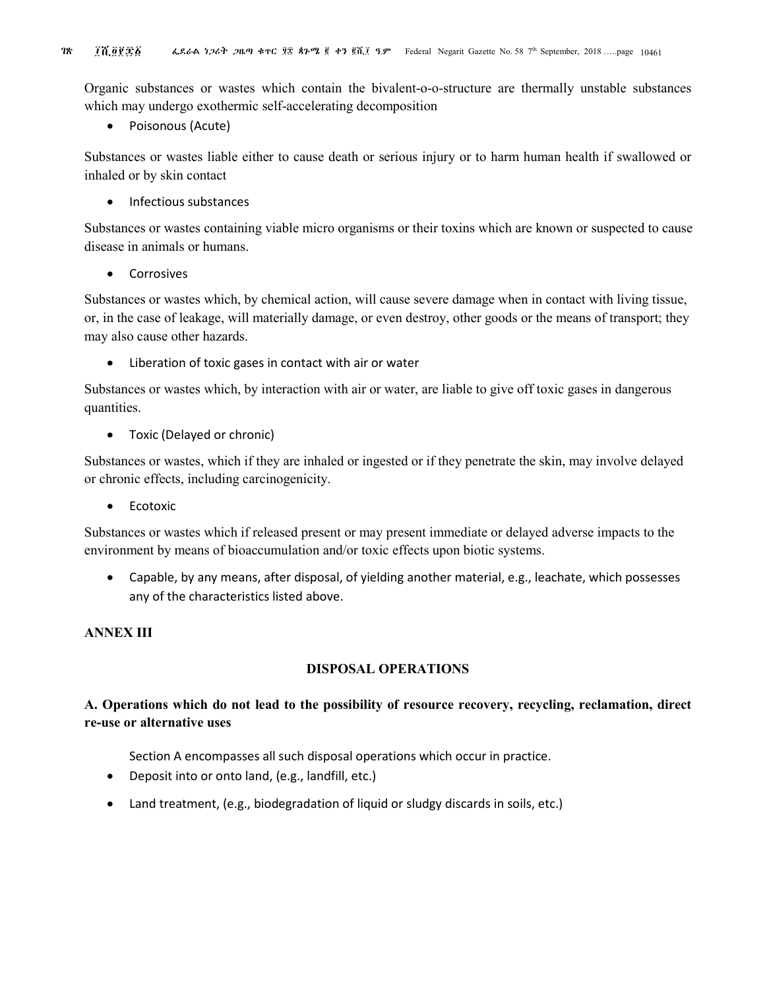Organic substances or wastes which contain the bivalent-o-o-structure are thermally unstable substances which may undergo exothermic self-accelerating decomposition

• Poisonous (Acute)

Substances or wastes liable either to cause death or serious injury or to harm human health if swallowed or inhaled or by skin contact

• Infectious substances

Substances or wastes containing viable micro organisms or their toxins which are known or suspected to cause disease in animals or humans.

• Corrosives

Substances or wastes which, by chemical action, will cause severe damage when in contact with living tissue, or, in the case of leakage, will materially damage, or even destroy, other goods or the means of transport; they may also cause other hazards.

• Liberation of toxic gases in contact with air or water

Substances or wastes which, by interaction with air or water, are liable to give off toxic gases in dangerous quantities.

• Toxic (Delayed or chronic)

Substances or wastes, which if they are inhaled or ingested or if they penetrate the skin, may involve delayed or chronic effects, including carcinogenicity.

• Ecotoxic

Substances or wastes which if released present or may present immediate or delayed adverse impacts to the environment by means of bioaccumulation and/or toxic effects upon biotic systems.

• Capable, by any means, after disposal, of yielding another material, e.g., leachate, which possesses any of the characteristics listed above.

# **ANNEX III**

# **DISPOSAL OPERATIONS**

# **A. Operations which do not lead to the possibility of resource recovery, recycling, reclamation, direct re-use or alternative uses**

Section A encompasses all such disposal operations which occur in practice.

- Deposit into or onto land, (e.g., landfill, etc.)
- Land treatment, (e.g., biodegradation of liquid or sludgy discards in soils, etc.)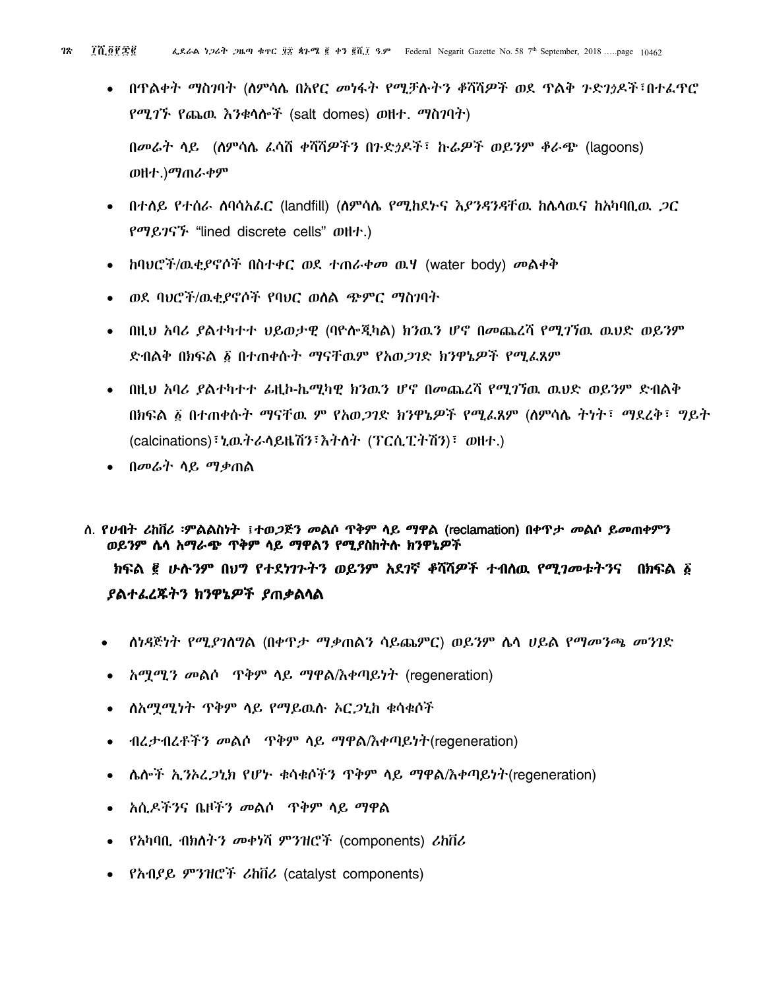- በጥልቀት ማስንባት (ስምሳሌ በአየር መነፋት የሚቻሉትን ቆሻሻዎች ወደ ጥልቅ ጉድንኃዶች፣በተፈጥሮ የሚገኙ የጨዉ እንቁሳሎች (salt domes) ወዘተ. ማስገባት) በመራት ሳይ (ሰምሳሌ ራሳሽ ቀሻሻዎችን በንድኃዶች፣ ኩራዎች ወይንም ቆራጭ (lagoons) ወዘተ.)ማጠራቀም
- በተሰይ የተሰራ ሰባሳአሬር (landfill) (ስምሳሴ የሚከደትና እ*ያንዳንዳ*ቸዉ ከሴሳዉና ከአካባቢዉ *ጋ*ር POP P.75<sup>\*</sup> "lined discrete cells" @H+.)
- ከባህሮች/ዉቂያኖሶች በስተቀር ወደ ተጠራቀመ ዉሃ (water body) መልቀቅ  $\bullet$
- ወደ ባህሮች/ዉቂያኖሶች የባህር ወሰል ጭምር ማስገባት  $\bullet$
- በዚህ አባሪ ያልተካተተ ህይወታዊ (ባዮሎጂካል) ክንዉን ሆኖ በመጨረሻ የሚገኘዉ ዉህድ ወይንም  $\bullet$ ድብልቅ በክፍል ፩ በተጠቀሱት ማናቸዉም የአወ*ጋገ*ድ ክንዋኔ*ዎች የሚ*ፌጸም
- በዚህ አባሪ ያልተካተተ ፊዚኮ-ኬሚካዊ ክንዉን ሆኖ በመጨረሻ የሚገኘዉ ዉህድ ወይንም ድብልቅ  $\bullet$ በክፍል ፩ በተጠቀሱት ማናቸዉ ም የአወ*ጋገ*ድ ክንዋኔ*ዎች የሚፌ*ጸም (ስምሳሌ ትነት፣ ማደረቅ፣ ግይት (calcinations) ፣ ኒዉትራሳይዜሽን ፣ እትለት (ፕርሲፒትሽን) ፣ ወዘተ.)
- በመሬት ሳይ ማቃጠል

ስ. የሀብት ሪከቨሪ ፡ምልልስነት ፤ተወ*ጋ*ጅን መልሶ ጥቅም ላይ ማዋል (reclamation) በቀጥታ መልሶ ይመጠቀምን ወይንም ሴሳ አማራጭ ጥቅም ሳይ ማዋልን የሚያስከትሱ ክንዋኔዎች ክፍል ፪ ሁሱንም በሀግ የተደነገጉትን ወይንም አደገኛ ቆሻሻዎች ተብለዉ የሚገመቱትንና በክፍል ፩ ያልተፌረጁትን ክንዋኔዎች ያጠቃልሳል

- ለነዳጅነት የሚያገስግል (በቀዋታ ማቃጠልን ሳይጨምር) ወይንም ሴሳ ሀይል የማመንጫ መንገድ  $\bullet$
- አሟሚን መልሶ ጥቅም ላይ ማዋል/እቀጣይነት (regeneration)  $\bullet$
- ስአሚሚነት ጥቅም ሳይ የማይዉሱ አርጋኒክ ቁሳቁሶች  $\bullet$
- ብረታብረቶችን መልሶ ዋቅም ላይ ማዋል/እቀጣይነት (regeneration)  $\bullet$
- $\Lambda$ ስትች ኢንኦሪ ጋኒክ የሆኑ ቁሳቁሶችን ጥቅም ሳይ ማዋል/እቀጣይነተ(regeneration)  $\bullet$
- 
- የአካባቢ ብክለትን መቀነሻ ምንዝሮች (components) ሪከቨሪ
- **Phfless ምንዝሮች ሪhil is (catalyst components)**